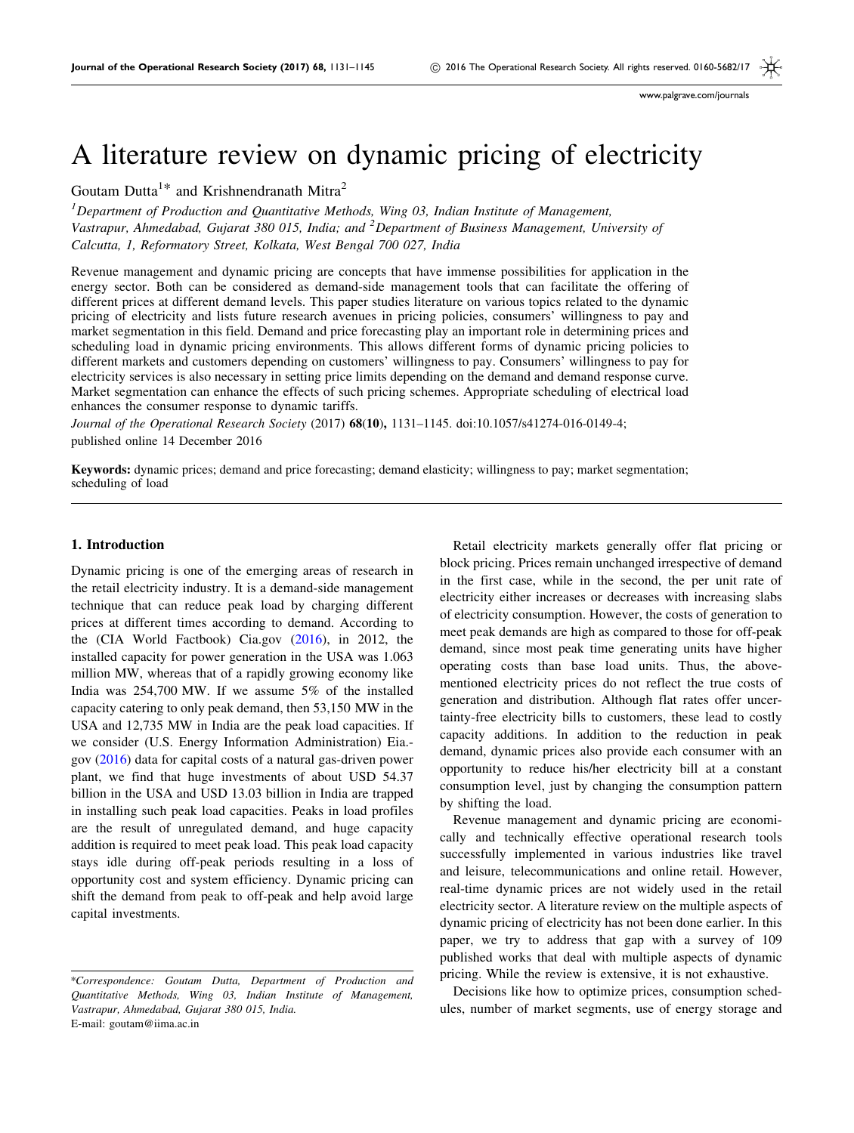www.palgrave.com/journals

# A literature review on dynamic pricing of electricity

Goutam Dutta<sup>1\*</sup> and Krishnendranath Mitra<sup>2</sup>

<sup>1</sup>Department of Production and Quantitative Methods, Wing 03, Indian Institute of Management, Vastrapur, Ahmedabad, Gujarat 380 015, India; and <sup>2</sup> Department of Business Management, University of Calcutta, 1, Reformatory Street, Kolkata, West Bengal 700 027, India

Revenue management and dynamic pricing are concepts that have immense possibilities for application in the energy sector. Both can be considered as demand-side management tools that can facilitate the offering of different prices at different demand levels. This paper studies literature on various topics related to the dynamic pricing of electricity and lists future research avenues in pricing policies, consumers' willingness to pay and market segmentation in this field. Demand and price forecasting play an important role in determining prices and scheduling load in dynamic pricing environments. This allows different forms of dynamic pricing policies to different markets and customers depending on customers' willingness to pay. Consumers' willingness to pay for electricity services is also necessary in setting price limits depending on the demand and demand response curve. Market segmentation can enhance the effects of such pricing schemes. Appropriate scheduling of electrical load enhances the consumer response to dynamic tariffs.

Journal of the Operational Research Society (2017) 68(10), 1131-1145. doi:10.1057/s41274-016-0149-4; published online 14 December 2016

Keywords: dynamic prices; demand and price forecasting; demand elasticity; willingness to pay; market segmentation; scheduling of load

# 1. Introduction

Dynamic pricing is one of the emerging areas of research in the retail electricity industry. It is a demand-side management technique that can reduce peak load by charging different prices at different times according to demand. According to the (CIA World Factbook) Cia.gov ([2016\)](#page-11-0), in 2012, the installed capacity for power generation in the USA was 1.063 million MW, whereas that of a rapidly growing economy like India was 254,700 MW. If we assume 5% of the installed capacity catering to only peak demand, then 53,150 MW in the USA and 12,735 MW in India are the peak load capacities. If we consider (U.S. Energy Information Administration) Eia. gov ([2016](#page-12-0)) data for capital costs of a natural gas-driven power plant, we find that huge investments of about USD 54.37 billion in the USA and USD 13.03 billion in India are trapped in installing such peak load capacities. Peaks in load profiles are the result of unregulated demand, and huge capacity addition is required to meet peak load. This peak load capacity stays idle during off-peak periods resulting in a loss of opportunity cost and system efficiency. Dynamic pricing can shift the demand from peak to off-peak and help avoid large capital investments.

Retail electricity markets generally offer flat pricing or block pricing. Prices remain unchanged irrespective of demand in the first case, while in the second, the per unit rate of electricity either increases or decreases with increasing slabs of electricity consumption. However, the costs of generation to meet peak demands are high as compared to those for off-peak demand, since most peak time generating units have higher operating costs than base load units. Thus, the abovementioned electricity prices do not reflect the true costs of generation and distribution. Although flat rates offer uncertainty-free electricity bills to customers, these lead to costly capacity additions. In addition to the reduction in peak demand, dynamic prices also provide each consumer with an opportunity to reduce his/her electricity bill at a constant consumption level, just by changing the consumption pattern by shifting the load.

Revenue management and dynamic pricing are economically and technically effective operational research tools successfully implemented in various industries like travel and leisure, telecommunications and online retail. However, real-time dynamic prices are not widely used in the retail electricity sector. A literature review on the multiple aspects of dynamic pricing of electricity has not been done earlier. In this paper, we try to address that gap with a survey of 109 published works that deal with multiple aspects of dynamic pricing. While the review is extensive, it is not exhaustive.

Decisions like how to optimize prices, consumption schedules, number of market segments, use of energy storage and

<sup>\*</sup>Correspondence: Goutam Dutta, Department of Production and Quantitative Methods, Wing 03, Indian Institute of Management, Vastrapur, Ahmedabad, Gujarat 380 015, India. E-mail: goutam@iima.ac.in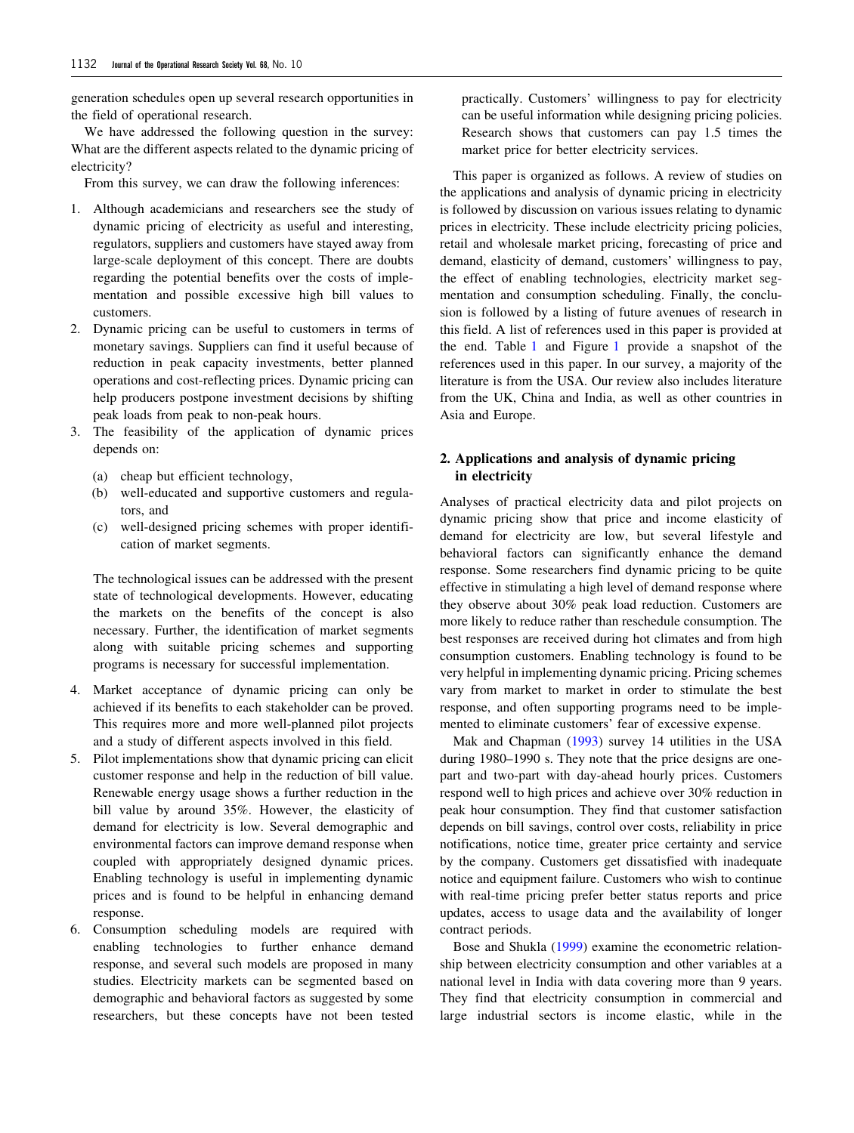generation schedules open up several research opportunities in the field of operational research.

We have addressed the following question in the survey: What are the different aspects related to the dynamic pricing of electricity?

From this survey, we can draw the following inferences:

- 1. Although academicians and researchers see the study of dynamic pricing of electricity as useful and interesting, regulators, suppliers and customers have stayed away from large-scale deployment of this concept. There are doubts regarding the potential benefits over the costs of implementation and possible excessive high bill values to customers.
- 2. Dynamic pricing can be useful to customers in terms of monetary savings. Suppliers can find it useful because of reduction in peak capacity investments, better planned operations and cost-reflecting prices. Dynamic pricing can help producers postpone investment decisions by shifting peak loads from peak to non-peak hours.
- 3. The feasibility of the application of dynamic prices depends on:
	- (a) cheap but efficient technology,
	- (b) well-educated and supportive customers and regulators, and
	- (c) well-designed pricing schemes with proper identification of market segments.

The technological issues can be addressed with the present state of technological developments. However, educating the markets on the benefits of the concept is also necessary. Further, the identification of market segments along with suitable pricing schemes and supporting programs is necessary for successful implementation.

- 4. Market acceptance of dynamic pricing can only be achieved if its benefits to each stakeholder can be proved. This requires more and more well-planned pilot projects and a study of different aspects involved in this field.
- 5. Pilot implementations show that dynamic pricing can elicit customer response and help in the reduction of bill value. Renewable energy usage shows a further reduction in the bill value by around 35%. However, the elasticity of demand for electricity is low. Several demographic and environmental factors can improve demand response when coupled with appropriately designed dynamic prices. Enabling technology is useful in implementing dynamic prices and is found to be helpful in enhancing demand response.
- 6. Consumption scheduling models are required with enabling technologies to further enhance demand response, and several such models are proposed in many studies. Electricity markets can be segmented based on demographic and behavioral factors as suggested by some researchers, but these concepts have not been tested

practically. Customers' willingness to pay for electricity can be useful information while designing pricing policies. Research shows that customers can pay 1.5 times the market price for better electricity services.

This paper is organized as follows. A review of studies on the applications and analysis of dynamic pricing in electricity is followed by discussion on various issues relating to dynamic prices in electricity. These include electricity pricing policies, retail and wholesale market pricing, forecasting of price and demand, elasticity of demand, customers' willingness to pay, the effect of enabling technologies, electricity market segmentation and consumption scheduling. Finally, the conclusion is followed by a listing of future avenues of research in this field. A list of references used in this paper is provided at the end. Table [1](#page-2-0) and Figure [1](#page-2-0) provide a snapshot of the references used in this paper. In our survey, a majority of the literature is from the USA. Our review also includes literature from the UK, China and India, as well as other countries in Asia and Europe.

# 2. Applications and analysis of dynamic pricing in electricity

Analyses of practical electricity data and pilot projects on dynamic pricing show that price and income elasticity of demand for electricity are low, but several lifestyle and behavioral factors can significantly enhance the demand response. Some researchers find dynamic pricing to be quite effective in stimulating a high level of demand response where they observe about 30% peak load reduction. Customers are more likely to reduce rather than reschedule consumption. The best responses are received during hot climates and from high consumption customers. Enabling technology is found to be very helpful in implementing dynamic pricing. Pricing schemes vary from market to market in order to stimulate the best response, and often supporting programs need to be implemented to eliminate customers' fear of excessive expense.

Mak and Chapman ([1993\)](#page-13-0) survey 14 utilities in the USA during 1980–1990 s. They note that the price designs are onepart and two-part with day-ahead hourly prices. Customers respond well to high prices and achieve over 30% reduction in peak hour consumption. They find that customer satisfaction depends on bill savings, control over costs, reliability in price notifications, notice time, greater price certainty and service by the company. Customers get dissatisfied with inadequate notice and equipment failure. Customers who wish to continue with real-time pricing prefer better status reports and price updates, access to usage data and the availability of longer contract periods.

Bose and Shukla ([1999\)](#page-11-0) examine the econometric relationship between electricity consumption and other variables at a national level in India with data covering more than 9 years. They find that electricity consumption in commercial and large industrial sectors is income elastic, while in the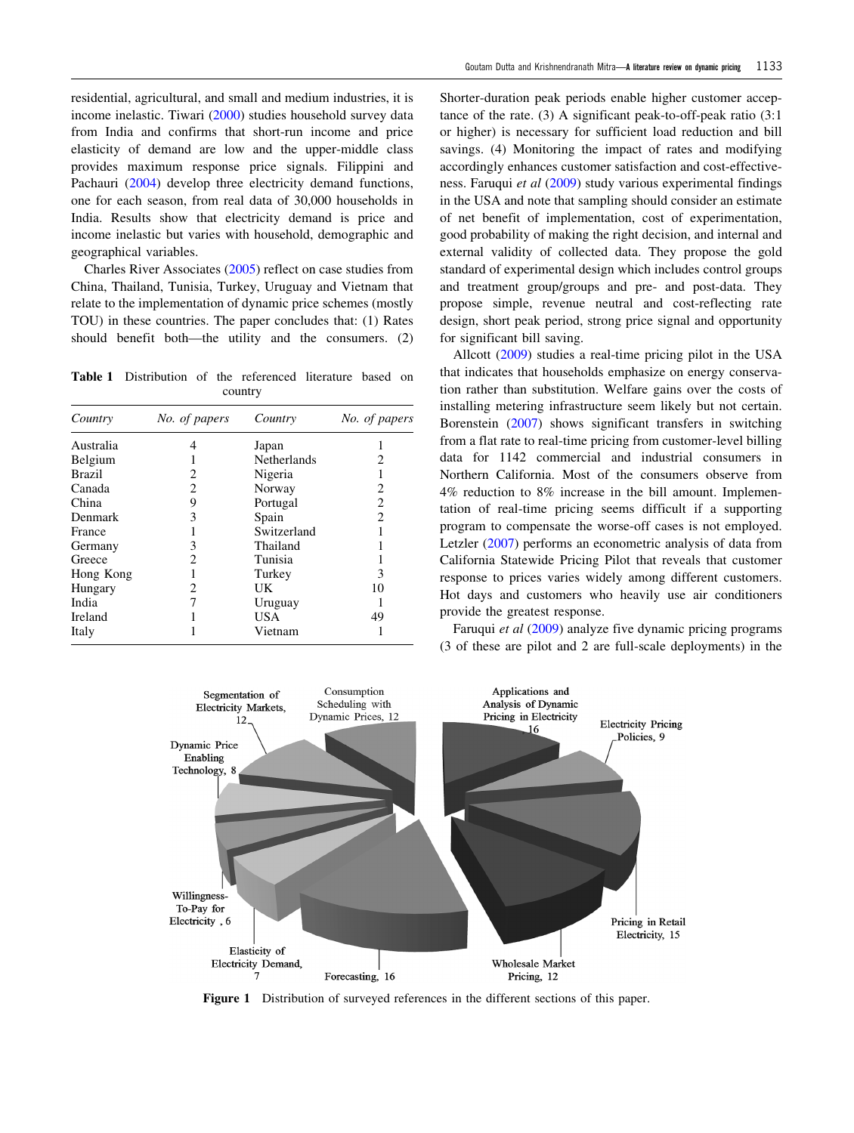<span id="page-2-0"></span>residential, agricultural, and small and medium industries, it is income inelastic. Tiwari ([2000\)](#page-13-0) studies household survey data from India and confirms that short-run income and price elasticity of demand are low and the upper-middle class provides maximum response price signals. Filippini and Pachauri [\(2004](#page-12-0)) develop three electricity demand functions, one for each season, from real data of 30,000 households in India. Results show that electricity demand is price and income inelastic but varies with household, demographic and geographical variables.

Charles River Associates ([2005\)](#page-11-0) reflect on case studies from China, Thailand, Tunisia, Turkey, Uruguay and Vietnam that relate to the implementation of dynamic price schemes (mostly TOU) in these countries. The paper concludes that: (1) Rates should benefit both—the utility and the consumers. (2)

Table 1 Distribution of the referenced literature based on country

| Country        | No. of papers | Country            | No. of papers |
|----------------|---------------|--------------------|---------------|
| Australia      | 4             | Japan              |               |
| Belgium        |               | <b>Netherlands</b> |               |
| Brazil         | 2             | Nigeria            |               |
| Canada         | 2             | Norway             | 2             |
| China          | 9             | Portugal           | 2             |
| Denmark        | 3             | Spain              | 2             |
| France         |               | Switzerland        |               |
| Germany        | 3             | Thailand           |               |
| Greece         | 2             | Tunisia            |               |
| Hong Kong      |               | Turkey             | 3             |
| Hungary        | 2             | UK                 | 10            |
| India          |               | Uruguay            |               |
| <b>Ireland</b> |               | USA                | 49            |
| Italy          |               | Vietnam            |               |

Shorter-duration peak periods enable higher customer acceptance of the rate. (3) A significant peak-to-off-peak ratio (3:1 or higher) is necessary for sufficient load reduction and bill savings. (4) Monitoring the impact of rates and modifying accordingly enhances customer satisfaction and cost-effectiveness. Faruqui et al [\(2009](#page-12-0)) study various experimental findings in the USA and note that sampling should consider an estimate of net benefit of implementation, cost of experimentation, good probability of making the right decision, and internal and external validity of collected data. They propose the gold standard of experimental design which includes control groups and treatment group/groups and pre- and post-data. They propose simple, revenue neutral and cost-reflecting rate design, short peak period, strong price signal and opportunity for significant bill saving.

Allcott [\(2009\)](#page-11-0) studies a real-time pricing pilot in the USA that indicates that households emphasize on energy conservation rather than substitution. Welfare gains over the costs of installing metering infrastructure seem likely but not certain. Borenstein [\(2007](#page-11-0)) shows significant transfers in switching from a flat rate to real-time pricing from customer-level billing data for 1142 commercial and industrial consumers in Northern California. Most of the consumers observe from 4% reduction to 8% increase in the bill amount. Implementation of real-time pricing seems difficult if a supporting program to compensate the worse-off cases is not employed. Letzler ([2007\)](#page-12-0) performs an econometric analysis of data from California Statewide Pricing Pilot that reveals that customer response to prices varies widely among different customers. Hot days and customers who heavily use air conditioners provide the greatest response.

Faruqui et al [\(2009\)](#page-12-0) analyze five dynamic pricing programs (3 of these are pilot and 2 are full-scale deployments) in the



Figure 1 Distribution of surveyed references in the different sections of this paper.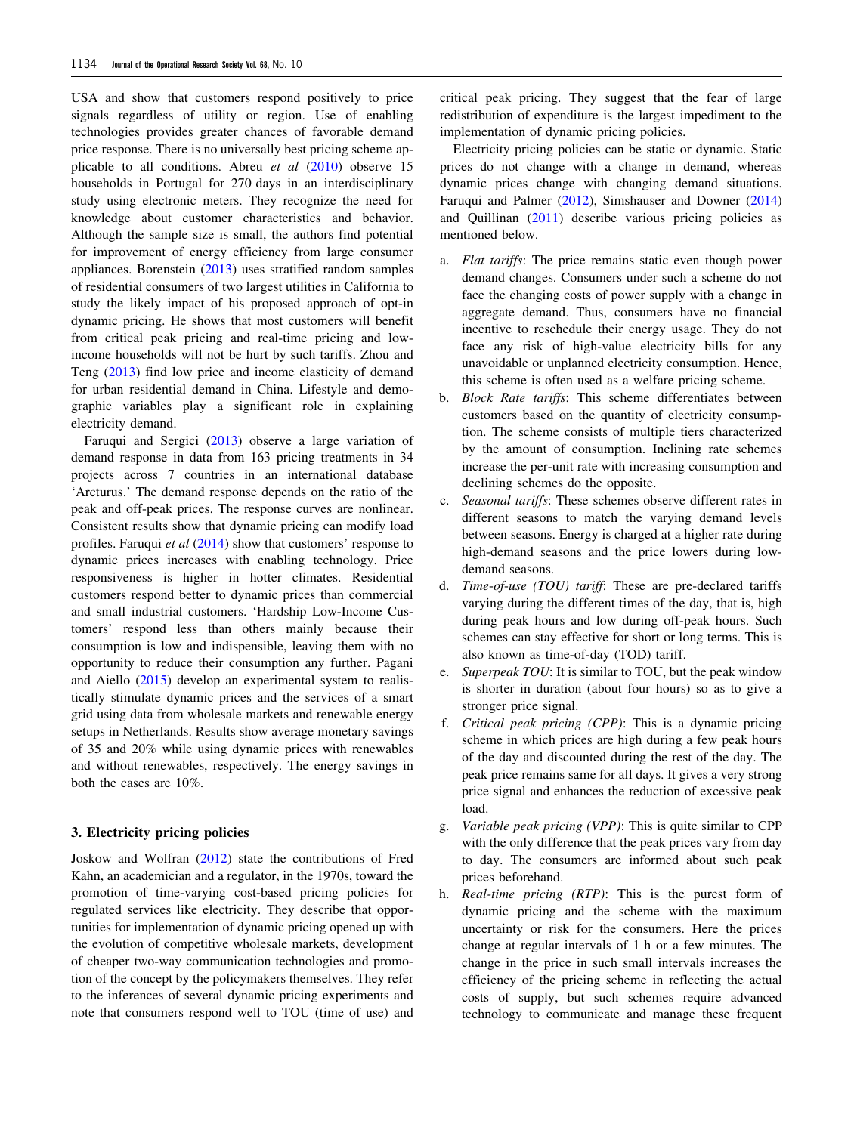USA and show that customers respond positively to price signals regardless of utility or region. Use of enabling technologies provides greater chances of favorable demand price response. There is no universally best pricing scheme applicable to all conditions. Abreu *et al*  $(2010)$  $(2010)$  observe 15 households in Portugal for 270 days in an interdisciplinary study using electronic meters. They recognize the need for knowledge about customer characteristics and behavior. Although the sample size is small, the authors find potential for improvement of energy efficiency from large consumer appliances. Borenstein [\(2013](#page-11-0)) uses stratified random samples of residential consumers of two largest utilities in California to study the likely impact of his proposed approach of opt-in dynamic pricing. He shows that most customers will benefit from critical peak pricing and real-time pricing and lowincome households will not be hurt by such tariffs. Zhou and Teng ([2013\)](#page-14-0) find low price and income elasticity of demand for urban residential demand in China. Lifestyle and demographic variables play a significant role in explaining electricity demand.

Faruqui and Sergici [\(2013\)](#page-12-0) observe a large variation of demand response in data from 163 pricing treatments in 34 projects across 7 countries in an international database 'Arcturus.' The demand response depends on the ratio of the peak and off-peak prices. The response curves are nonlinear. Consistent results show that dynamic pricing can modify load profiles. Faruqui et al ([2014\)](#page-12-0) show that customers' response to dynamic prices increases with enabling technology. Price responsiveness is higher in hotter climates. Residential customers respond better to dynamic prices than commercial and small industrial customers. 'Hardship Low-Income Customers' respond less than others mainly because their consumption is low and indispensible, leaving them with no opportunity to reduce their consumption any further. Pagani and Aiello ([2015\)](#page-13-0) develop an experimental system to realistically stimulate dynamic prices and the services of a smart grid using data from wholesale markets and renewable energy setups in Netherlands. Results show average monetary savings of 35 and 20% while using dynamic prices with renewables and without renewables, respectively. The energy savings in both the cases are 10%.

#### 3. Electricity pricing policies

Joskow and Wolfran ([2012\)](#page-12-0) state the contributions of Fred Kahn, an academician and a regulator, in the 1970s, toward the promotion of time-varying cost-based pricing policies for regulated services like electricity. They describe that opportunities for implementation of dynamic pricing opened up with the evolution of competitive wholesale markets, development of cheaper two-way communication technologies and promotion of the concept by the policymakers themselves. They refer to the inferences of several dynamic pricing experiments and note that consumers respond well to TOU (time of use) and critical peak pricing. They suggest that the fear of large redistribution of expenditure is the largest impediment to the implementation of dynamic pricing policies.

Electricity pricing policies can be static or dynamic. Static prices do not change with a change in demand, whereas dynamic prices change with changing demand situations. Faruqui and Palmer [\(2012](#page-12-0)), Simshauser and Downer ([2014](#page-13-0)) and Quillinan [\(2011\)](#page-13-0) describe various pricing policies as mentioned below.

- a. Flat tariffs: The price remains static even though power demand changes. Consumers under such a scheme do not face the changing costs of power supply with a change in aggregate demand. Thus, consumers have no financial incentive to reschedule their energy usage. They do not face any risk of high-value electricity bills for any unavoidable or unplanned electricity consumption. Hence, this scheme is often used as a welfare pricing scheme.
- b. Block Rate tariffs: This scheme differentiates between customers based on the quantity of electricity consumption. The scheme consists of multiple tiers characterized by the amount of consumption. Inclining rate schemes increase the per-unit rate with increasing consumption and declining schemes do the opposite.
- c. Seasonal tariffs: These schemes observe different rates in different seasons to match the varying demand levels between seasons. Energy is charged at a higher rate during high-demand seasons and the price lowers during lowdemand seasons.
- d. Time-of-use (TOU) tariff: These are pre-declared tariffs varying during the different times of the day, that is, high during peak hours and low during off-peak hours. Such schemes can stay effective for short or long terms. This is also known as time-of-day (TOD) tariff.
- e. Superpeak TOU: It is similar to TOU, but the peak window is shorter in duration (about four hours) so as to give a stronger price signal.
- f. Critical peak pricing (CPP): This is a dynamic pricing scheme in which prices are high during a few peak hours of the day and discounted during the rest of the day. The peak price remains same for all days. It gives a very strong price signal and enhances the reduction of excessive peak load.
- g. Variable peak pricing (VPP): This is quite similar to CPP with the only difference that the peak prices vary from day to day. The consumers are informed about such peak prices beforehand.
- h. Real-time pricing (RTP): This is the purest form of dynamic pricing and the scheme with the maximum uncertainty or risk for the consumers. Here the prices change at regular intervals of 1 h or a few minutes. The change in the price in such small intervals increases the efficiency of the pricing scheme in reflecting the actual costs of supply, but such schemes require advanced technology to communicate and manage these frequent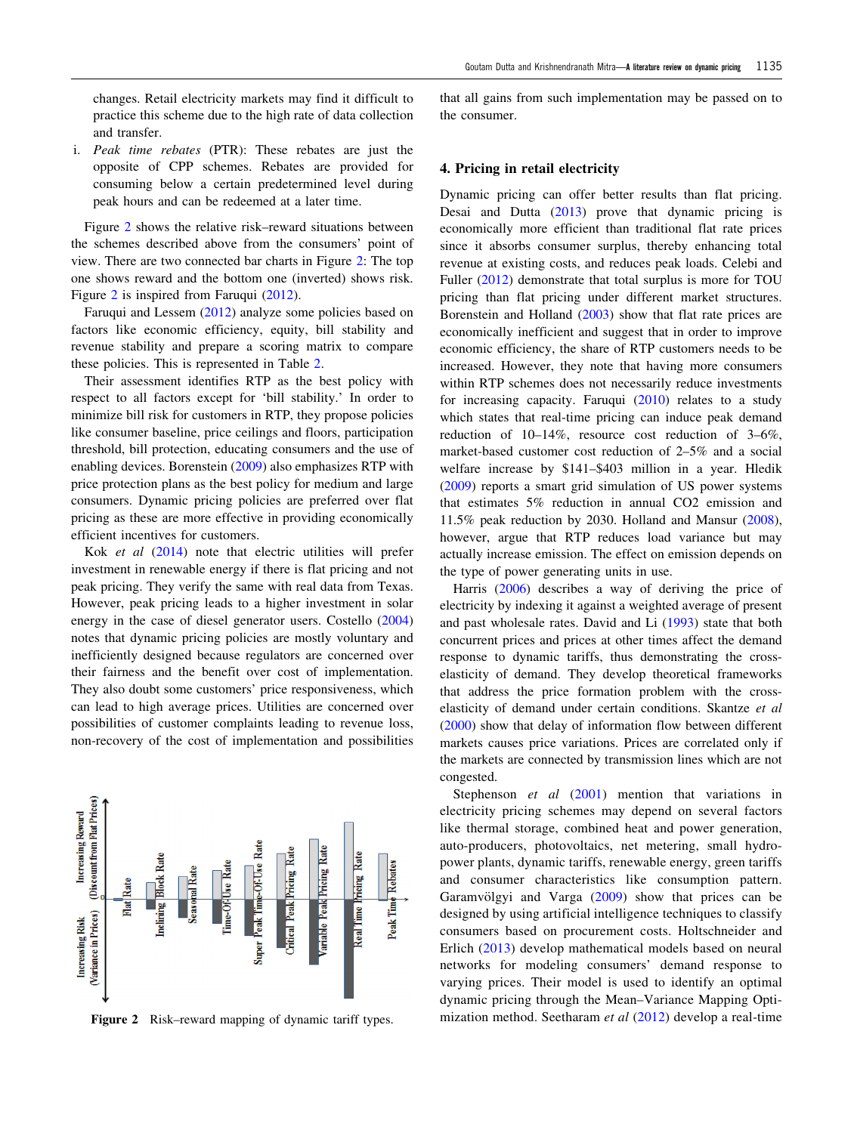changes. Retail electricity markets may find it difficult to practice this scheme due to the high rate of data collection and transfer.

i. Peak time rebates (PTR): These rebates are just the opposite of CPP schemes. Rebates are provided for consuming below a certain predetermined level during peak hours and can be redeemed at a later time.

Figure 2 shows the relative risk–reward situations between the schemes described above from the consumers' point of view. There are two connected bar charts in Figure 2: The top one shows reward and the bottom one (inverted) shows risk. Figure 2 is inspired from Faruqui ([2012\)](#page-12-0).

Faruqui and Lessem ([2012\)](#page-12-0) analyze some policies based on factors like economic efficiency, equity, bill stability and revenue stability and prepare a scoring matrix to compare these policies. This is represented in Table [2.](#page-5-0)

Their assessment identifies RTP as the best policy with respect to all factors except for 'bill stability.' In order to minimize bill risk for customers in RTP, they propose policies like consumer baseline, price ceilings and floors, participation threshold, bill protection, educating consumers and the use of enabling devices. Borenstein [\(2009](#page-11-0)) also emphasizes RTP with price protection plans as the best policy for medium and large consumers. Dynamic pricing policies are preferred over flat pricing as these are more effective in providing economically efficient incentives for customers.

Kok et al  $(2014)$  $(2014)$  note that electric utilities will prefer investment in renewable energy if there is flat pricing and not peak pricing. They verify the same with real data from Texas. However, peak pricing leads to a higher investment in solar energy in the case of diesel generator users. Costello [\(2004](#page-11-0)) notes that dynamic pricing policies are mostly voluntary and inefficiently designed because regulators are concerned over their fairness and the benefit over cost of implementation. They also doubt some customers' price responsiveness, which can lead to high average prices. Utilities are concerned over possibilities of customer complaints leading to revenue loss, non-recovery of the cost of implementation and possibilities



that all gains from such implementation may be passed on to the consumer.

#### 4. Pricing in retail electricity

Dynamic pricing can offer better results than flat pricing. Desai and Dutta [\(2013](#page-11-0)) prove that dynamic pricing is economically more efficient than traditional flat rate prices since it absorbs consumer surplus, thereby enhancing total revenue at existing costs, and reduces peak loads. Celebi and Fuller ([2012\)](#page-11-0) demonstrate that total surplus is more for TOU pricing than flat pricing under different market structures. Borenstein and Holland [\(2003](#page-11-0)) show that flat rate prices are economically inefficient and suggest that in order to improve economic efficiency, the share of RTP customers needs to be increased. However, they note that having more consumers within RTP schemes does not necessarily reduce investments for increasing capacity. Faruqui [\(2010](#page-12-0)) relates to a study which states that real-time pricing can induce peak demand reduction of 10–14%, resource cost reduction of 3–6%, market-based customer cost reduction of 2–5% and a social welfare increase by \$141–\$403 million in a year. Hledik [\(2009\)](#page-12-0) reports a smart grid simulation of US power systems that estimates 5% reduction in annual CO2 emission and 11.5% peak reduction by 2030. Holland and Mansur [\(2008](#page-12-0)), however, argue that RTP reduces load variance but may actually increase emission. The effect on emission depends on the type of power generating units in use.

Harris [\(2006](#page-12-0)) describes a way of deriving the price of electricity by indexing it against a weighted average of present and past wholesale rates. David and Li [\(1993](#page-11-0)) state that both concurrent prices and prices at other times affect the demand response to dynamic tariffs, thus demonstrating the crosselasticity of demand. They develop theoretical frameworks that address the price formation problem with the crosselasticity of demand under certain conditions. Skantze et al [\(2000\)](#page-13-0) show that delay of information flow between different markets causes price variations. Prices are correlated only if the markets are connected by transmission lines which are not congested.

Stephenson et al ([2001](#page-13-0)) mention that variations in electricity pricing schemes may depend on several factors like thermal storage, combined heat and power generation, auto-producers, photovoltaics, net metering, small hydropower plants, dynamic tariffs, renewable energy, green tariffs and consumer characteristics like consumption pattern. Garamvölgyi and Varga  $(2009)$  $(2009)$  show that prices can be designed by using artificial intelligence techniques to classify consumers based on procurement costs. Holtschneider and Erlich ([2013](#page-12-0)) develop mathematical models based on neural networks for modeling consumers' demand response to varying prices. Their model is used to identify an optimal dynamic pricing through the Mean–Variance Mapping Opti-Figure 2 Risk–reward mapping of dynamic tariff types. mization method. Seetharam et al ([2012](#page-13-0)) develop a real-time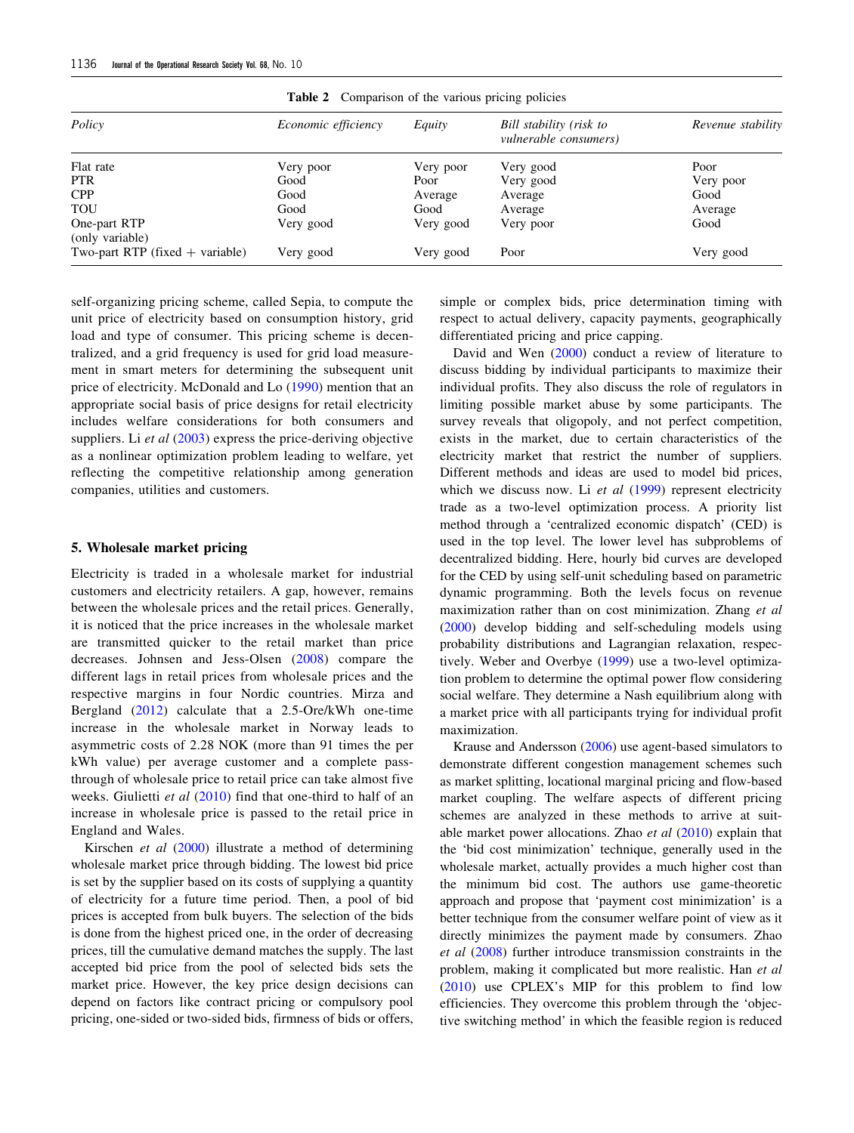<span id="page-5-0"></span>

| Policy                            | Economic efficiency | Equity    | Bill stability (risk to<br>vulnerable consumers) | Revenue stability |
|-----------------------------------|---------------------|-----------|--------------------------------------------------|-------------------|
| Flat rate                         | Very poor           | Very poor | Very good                                        | Poor              |
| <b>PTR</b>                        | Good                | Poor      | Very good                                        | Very poor         |
| <b>CPP</b>                        | Good                | Average   | Average                                          | Good              |
| <b>TOU</b>                        | Good                | Good      | Average                                          | Average           |
| One-part RTP<br>(only variable)   | Very good           | Very good | Very poor                                        | Good              |
| Two-part RTP (fixed $+$ variable) | Very good           | Very good | Poor                                             | Very good         |

Table 2 Comparison of the various pricing policies

self-organizing pricing scheme, called Sepia, to compute the unit price of electricity based on consumption history, grid load and type of consumer. This pricing scheme is decentralized, and a grid frequency is used for grid load measurement in smart meters for determining the subsequent unit price of electricity. McDonald and Lo ([1990](#page-13-0)) mention that an appropriate social basis of price designs for retail electricity includes welfare considerations for both consumers and suppliers. Li  $et$  al  $(2003)$  $(2003)$  $(2003)$  express the price-deriving objective as a nonlinear optimization problem leading to welfare, yet reflecting the competitive relationship among generation companies, utilities and customers.

# 5. Wholesale market pricing

Electricity is traded in a wholesale market for industrial customers and electricity retailers. A gap, however, remains between the wholesale prices and the retail prices. Generally, it is noticed that the price increases in the wholesale market are transmitted quicker to the retail market than price decreases. Johnsen and Jess-Olsen ([2008](#page-12-0)) compare the different lags in retail prices from wholesale prices and the respective margins in four Nordic countries. Mirza and Bergland ([2012](#page-13-0)) calculate that a 2.5-Ore/kWh one-time increase in the wholesale market in Norway leads to asymmetric costs of 2.28 NOK (more than 91 times the per kWh value) per average customer and a complete passthrough of wholesale price to retail price can take almost five weeks. Giulietti et al ([2010](#page-12-0)) find that one-third to half of an increase in wholesale price is passed to the retail price in England and Wales.

Kirschen et al [\(2000\)](#page-12-0) illustrate a method of determining wholesale market price through bidding. The lowest bid price is set by the supplier based on its costs of supplying a quantity of electricity for a future time period. Then, a pool of bid prices is accepted from bulk buyers. The selection of the bids is done from the highest priced one, in the order of decreasing prices, till the cumulative demand matches the supply. The last accepted bid price from the pool of selected bids sets the market price. However, the key price design decisions can depend on factors like contract pricing or compulsory pool pricing, one-sided or two-sided bids, firmness of bids or offers,

simple or complex bids, price determination timing with respect to actual delivery, capacity payments, geographically differentiated pricing and price capping.

David and Wen [\(2000](#page-11-0)) conduct a review of literature to discuss bidding by individual participants to maximize their individual profits. They also discuss the role of regulators in limiting possible market abuse by some participants. The survey reveals that oligopoly, and not perfect competition, exists in the market, due to certain characteristics of the electricity market that restrict the number of suppliers. Different methods and ideas are used to model bid prices, which we discuss now. Li  $et$  al  $(1999)$  $(1999)$  represent electricity trade as a two-level optimization process. A priority list method through a 'centralized economic dispatch' (CED) is used in the top level. The lower level has subproblems of decentralized bidding. Here, hourly bid curves are developed for the CED by using self-unit scheduling based on parametric dynamic programming. Both the levels focus on revenue maximization rather than on cost minimization. Zhang et al [\(2000\)](#page-14-0) develop bidding and self-scheduling models using probability distributions and Lagrangian relaxation, respectively. Weber and Overbye [\(1999\)](#page-14-0) use a two-level optimization problem to determine the optimal power flow considering social welfare. They determine a Nash equilibrium along with a market price with all participants trying for individual profit maximization.

Krause and Andersson [\(2006](#page-12-0)) use agent-based simulators to demonstrate different congestion management schemes such as market splitting, locational marginal pricing and flow-based market coupling. The welfare aspects of different pricing schemes are analyzed in these methods to arrive at suitable market power allocations. Zhao *et al*  $(2010)$  $(2010)$  explain that the 'bid cost minimization' technique, generally used in the wholesale market, actually provides a much higher cost than the minimum bid cost. The authors use game-theoretic approach and propose that 'payment cost minimization' is a better technique from the consumer welfare point of view as it directly minimizes the payment made by consumers. Zhao et al ([2008\)](#page-14-0) further introduce transmission constraints in the problem, making it complicated but more realistic. Han et al [\(2010\)](#page-12-0) use CPLEX's MIP for this problem to find low efficiencies. They overcome this problem through the 'objective switching method' in which the feasible region is reduced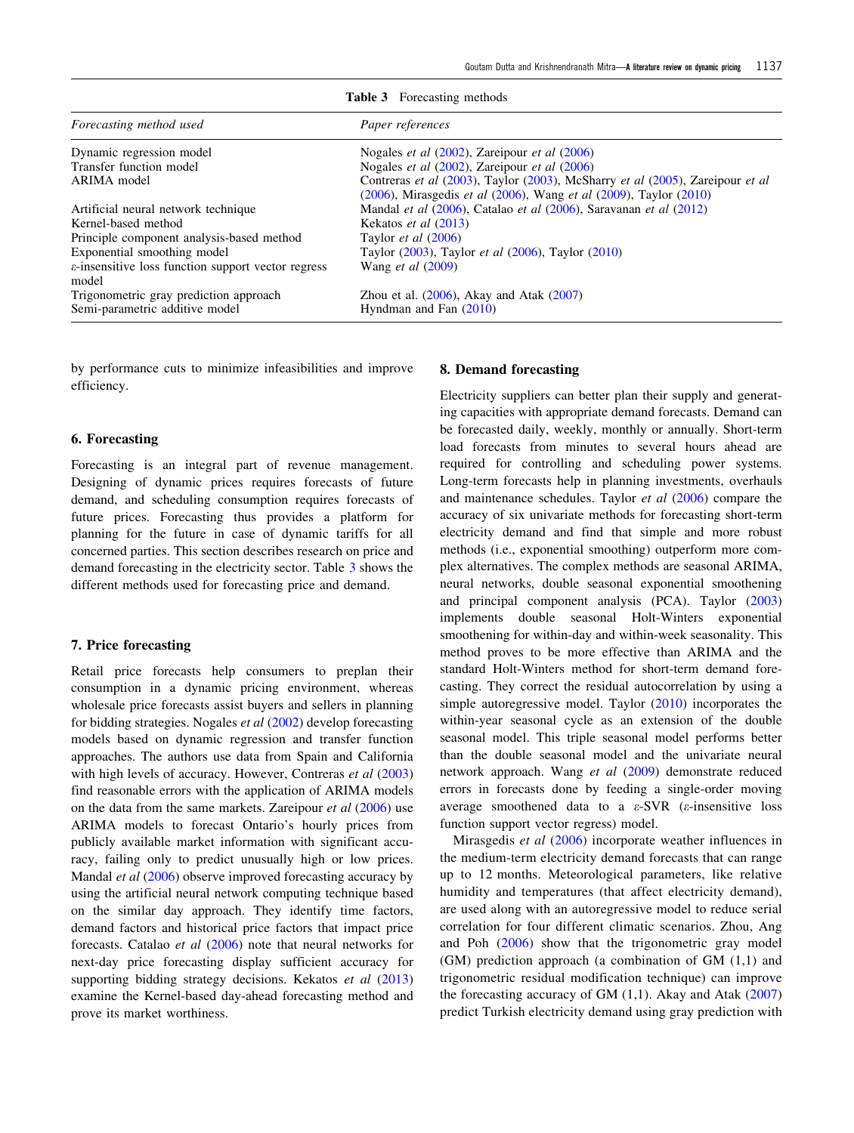| Forecasting method used                                     | Paper references                                                              |
|-------------------------------------------------------------|-------------------------------------------------------------------------------|
| Dynamic regression model                                    | Nogales <i>et al</i> $(2002)$ , Zareipour <i>et al</i> $(2006)$               |
| Transfer function model                                     | Nogales et al (2002), Zareipour et al (2006)                                  |
| ARIMA model                                                 | Contreras et al (2003), Taylor (2003), McSharry et al (2005), Zareipour et al |
|                                                             | (2006), Mirasgedis et al (2006), Wang et al (2009), Taylor (2010)             |
| Artificial neural network technique                         | Mandal et al (2006), Catalao et al (2006), Saravanan et al (2012)             |
| Kernel-based method                                         | Kekatos et al (2013)                                                          |
| Principle component analysis-based method                   | Taylor <i>et al</i> $(2006)$                                                  |
| Exponential smoothing model                                 | Taylor (2003), Taylor <i>et al</i> (2006), Taylor (2010)                      |
| ε-insensitive loss function support vector regress<br>model | Wang <i>et al</i> $(2009)$                                                    |
| Trigonometric gray prediction approach                      | Zhou et al. $(2006)$ , Akay and Atak $(2007)$                                 |
| Semi-parametric additive model                              | Hyndman and Fan (2010)                                                        |

Table 3 Forecasting methods

by performance cuts to minimize infeasibilities and improve efficiency.

#### 6. Forecasting

Forecasting is an integral part of revenue management. Designing of dynamic prices requires forecasts of future demand, and scheduling consumption requires forecasts of future prices. Forecasting thus provides a platform for planning for the future in case of dynamic tariffs for all concerned parties. This section describes research on price and demand forecasting in the electricity sector. Table 3 shows the different methods used for forecasting price and demand.

#### 7. Price forecasting

Retail price forecasts help consumers to preplan their consumption in a dynamic pricing environment, whereas wholesale price forecasts assist buyers and sellers in planning for bidding strategies. Nogales et al ([2002\)](#page-13-0) develop forecasting models based on dynamic regression and transfer function approaches. The authors use data from Spain and California with high levels of accuracy. However, Contreras et al [\(2003](#page-11-0)) find reasonable errors with the application of ARIMA models on the data from the same markets. Zareipour et al ([2006\)](#page-14-0) use ARIMA models to forecast Ontario's hourly prices from publicly available market information with significant accuracy, failing only to predict unusually high or low prices. Mandal *et al* [\(2006](#page-13-0)) observe improved forecasting accuracy by using the artificial neural network computing technique based on the similar day approach. They identify time factors, demand factors and historical price factors that impact price forecasts. Catalao et al [\(2006](#page-11-0)) note that neural networks for next-day price forecasting display sufficient accuracy for supporting bidding strategy decisions. Kekatos et al [\(2013](#page-12-0)) examine the Kernel-based day-ahead forecasting method and prove its market worthiness.

#### 8. Demand forecasting

Electricity suppliers can better plan their supply and generating capacities with appropriate demand forecasts. Demand can be forecasted daily, weekly, monthly or annually. Short-term load forecasts from minutes to several hours ahead are required for controlling and scheduling power systems. Long-term forecasts help in planning investments, overhauls and maintenance schedules. Taylor et al [\(2006](#page-13-0)) compare the accuracy of six univariate methods for forecasting short-term electricity demand and find that simple and more robust methods (i.e., exponential smoothing) outperform more complex alternatives. The complex methods are seasonal ARIMA, neural networks, double seasonal exponential smoothening and principal component analysis (PCA). Taylor ([2003](#page-13-0)) implements double seasonal Holt-Winters exponential smoothening for within-day and within-week seasonality. This method proves to be more effective than ARIMA and the standard Holt-Winters method for short-term demand forecasting. They correct the residual autocorrelation by using a simple autoregressive model. Taylor [\(2010](#page-13-0)) incorporates the within-year seasonal cycle as an extension of the double seasonal model. This triple seasonal model performs better than the double seasonal model and the univariate neural network approach. Wang et al ([2009\)](#page-13-0) demonstrate reduced errors in forecasts done by feeding a single-order moving average smoothened data to a  $\varepsilon$ -SVR ( $\varepsilon$ -insensitive loss function support vector regress) model.

Mirasgedis et al [\(2006](#page-13-0)) incorporate weather influences in the medium-term electricity demand forecasts that can range up to 12 months. Meteorological parameters, like relative humidity and temperatures (that affect electricity demand), are used along with an autoregressive model to reduce serial correlation for four different climatic scenarios. Zhou, Ang and Poh ([2006](#page-14-0)) show that the trigonometric gray model (GM) prediction approach (a combination of GM (1,1) and trigonometric residual modification technique) can improve the forecasting accuracy of GM  $(1,1)$ . Akay and Atak  $(2007)$  $(2007)$ predict Turkish electricity demand using gray prediction with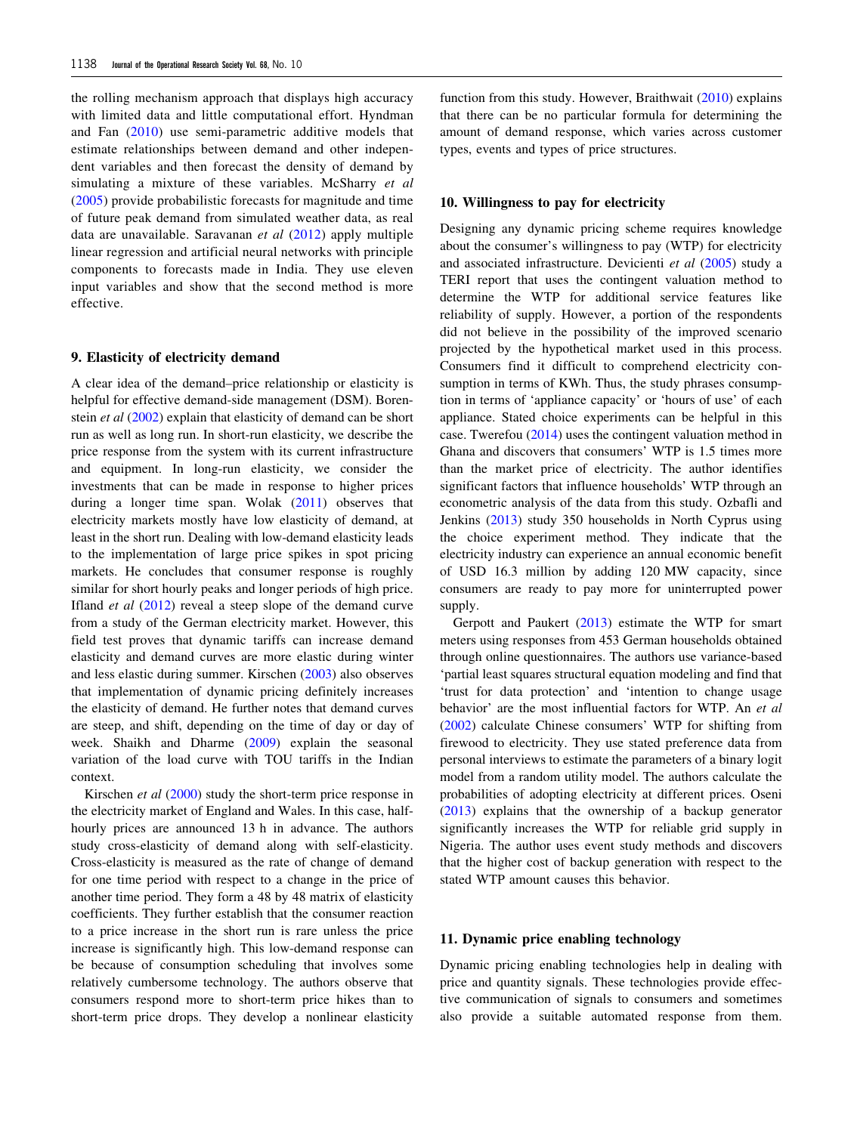the rolling mechanism approach that displays high accuracy with limited data and little computational effort. Hyndman and Fan [\(2010](#page-12-0)) use semi-parametric additive models that estimate relationships between demand and other independent variables and then forecast the density of demand by simulating a mixture of these variables. McSharry et al ([2005](#page-13-0)) provide probabilistic forecasts for magnitude and time of future peak demand from simulated weather data, as real data are unavailable. Saravanan et al ([2012](#page-13-0)) apply multiple linear regression and artificial neural networks with principle components to forecasts made in India. They use eleven input variables and show that the second method is more effective.

## 9. Elasticity of electricity demand

A clear idea of the demand–price relationship or elasticity is helpful for effective demand-side management (DSM). Borenstein et al ([2002\)](#page-11-0) explain that elasticity of demand can be short run as well as long run. In short-run elasticity, we describe the price response from the system with its current infrastructure and equipment. In long-run elasticity, we consider the investments that can be made in response to higher prices during a longer time span. Wolak [\(2011](#page-14-0)) observes that electricity markets mostly have low elasticity of demand, at least in the short run. Dealing with low-demand elasticity leads to the implementation of large price spikes in spot pricing markets. He concludes that consumer response is roughly similar for short hourly peaks and longer periods of high price. Ifland et al [\(2012](#page-12-0)) reveal a steep slope of the demand curve from a study of the German electricity market. However, this field test proves that dynamic tariffs can increase demand elasticity and demand curves are more elastic during winter and less elastic during summer. Kirschen ([2003\)](#page-12-0) also observes that implementation of dynamic pricing definitely increases the elasticity of demand. He further notes that demand curves are steep, and shift, depending on the time of day or day of week. Shaikh and Dharme ([2009\)](#page-13-0) explain the seasonal variation of the load curve with TOU tariffs in the Indian context.

Kirschen et al ([2000\)](#page-12-0) study the short-term price response in the electricity market of England and Wales. In this case, halfhourly prices are announced 13 h in advance. The authors study cross-elasticity of demand along with self-elasticity. Cross-elasticity is measured as the rate of change of demand for one time period with respect to a change in the price of another time period. They form a 48 by 48 matrix of elasticity coefficients. They further establish that the consumer reaction to a price increase in the short run is rare unless the price increase is significantly high. This low-demand response can be because of consumption scheduling that involves some relatively cumbersome technology. The authors observe that consumers respond more to short-term price hikes than to short-term price drops. They develop a nonlinear elasticity

function from this study. However, Braithwait [\(2010](#page-11-0)) explains that there can be no particular formula for determining the amount of demand response, which varies across customer types, events and types of price structures.

## 10. Willingness to pay for electricity

Designing any dynamic pricing scheme requires knowledge about the consumer's willingness to pay (WTP) for electricity and associated infrastructure. Devicienti et al ([2005\)](#page-11-0) study a TERI report that uses the contingent valuation method to determine the WTP for additional service features like reliability of supply. However, a portion of the respondents did not believe in the possibility of the improved scenario projected by the hypothetical market used in this process. Consumers find it difficult to comprehend electricity consumption in terms of KWh. Thus, the study phrases consumption in terms of 'appliance capacity' or 'hours of use' of each appliance. Stated choice experiments can be helpful in this case. Twerefou [\(2014](#page-13-0)) uses the contingent valuation method in Ghana and discovers that consumers' WTP is 1.5 times more than the market price of electricity. The author identifies significant factors that influence households' WTP through an econometric analysis of the data from this study. Ozbafli and Jenkins [\(2013](#page-13-0)) study 350 households in North Cyprus using the choice experiment method. They indicate that the electricity industry can experience an annual economic benefit of USD 16.3 million by adding 120 MW capacity, since consumers are ready to pay more for uninterrupted power supply.

Gerpott and Paukert ([2013\)](#page-12-0) estimate the WTP for smart meters using responses from 453 German households obtained through online questionnaires. The authors use variance-based 'partial least squares structural equation modeling and find that 'trust for data protection' and 'intention to change usage behavior' are the most influential factors for WTP. An et al [\(2002\)](#page-11-0) calculate Chinese consumers' WTP for shifting from firewood to electricity. They use stated preference data from personal interviews to estimate the parameters of a binary logit model from a random utility model. The authors calculate the probabilities of adopting electricity at different prices. Oseni [\(2013\)](#page-13-0) explains that the ownership of a backup generator significantly increases the WTP for reliable grid supply in Nigeria. The author uses event study methods and discovers that the higher cost of backup generation with respect to the stated WTP amount causes this behavior.

#### 11. Dynamic price enabling technology

Dynamic pricing enabling technologies help in dealing with price and quantity signals. These technologies provide effective communication of signals to consumers and sometimes also provide a suitable automated response from them.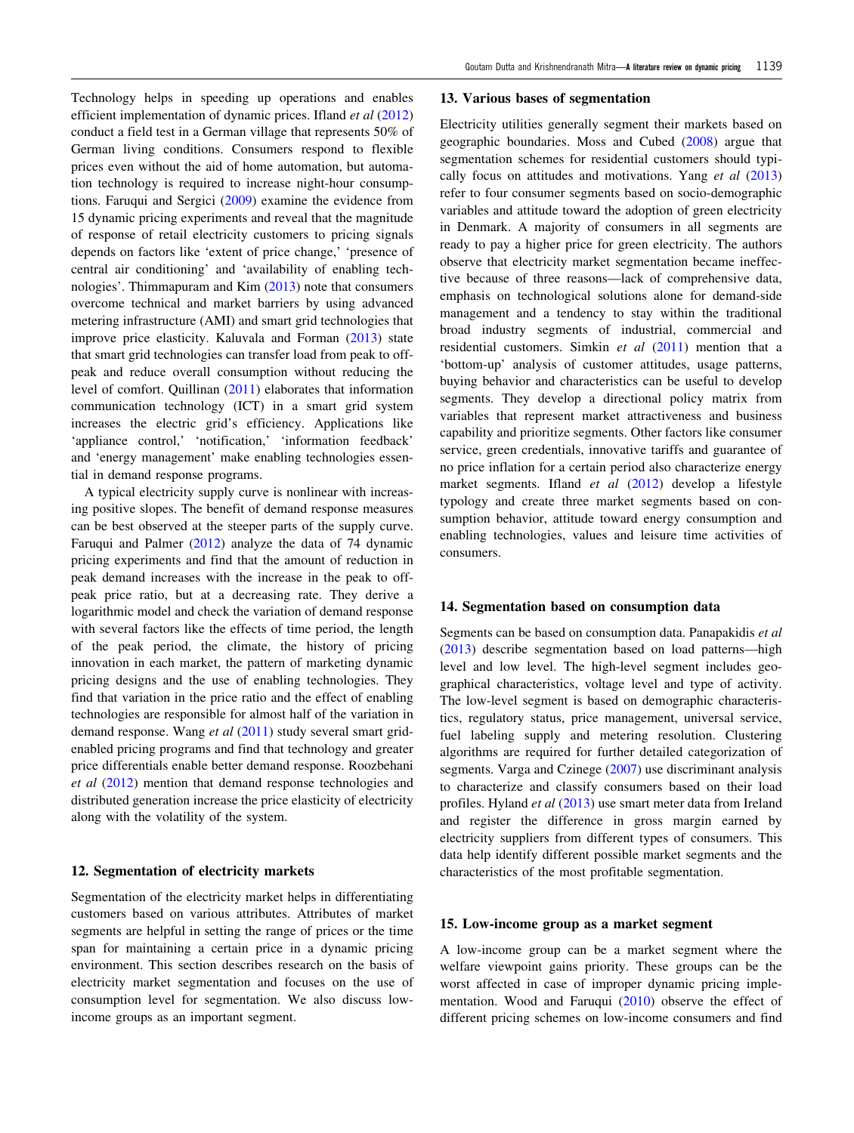Technology helps in speeding up operations and enables efficient implementation of dynamic prices. Ifland et al [\(2012](#page-12-0)) conduct a field test in a German village that represents 50% of German living conditions. Consumers respond to flexible prices even without the aid of home automation, but automation technology is required to increase night-hour consumptions. Faruqui and Sergici ([2009\)](#page-12-0) examine the evidence from 15 dynamic pricing experiments and reveal that the magnitude of response of retail electricity customers to pricing signals depends on factors like 'extent of price change,' 'presence of central air conditioning' and 'availability of enabling technologies'. Thimmapuram and Kim ([2013](#page-13-0)) note that consumers overcome technical and market barriers by using advanced metering infrastructure (AMI) and smart grid technologies that improve price elasticity. Kaluvala and Forman [\(2013](#page-12-0)) state that smart grid technologies can transfer load from peak to offpeak and reduce overall consumption without reducing the level of comfort. Quillinan ([2011\)](#page-13-0) elaborates that information communication technology (ICT) in a smart grid system increases the electric grid's efficiency. Applications like 'appliance control,' 'notification,' 'information feedback'

tial in demand response programs. A typical electricity supply curve is nonlinear with increasing positive slopes. The benefit of demand response measures can be best observed at the steeper parts of the supply curve. Faruqui and Palmer [\(2012](#page-12-0)) analyze the data of 74 dynamic pricing experiments and find that the amount of reduction in peak demand increases with the increase in the peak to offpeak price ratio, but at a decreasing rate. They derive a logarithmic model and check the variation of demand response with several factors like the effects of time period, the length of the peak period, the climate, the history of pricing innovation in each market, the pattern of marketing dynamic pricing designs and the use of enabling technologies. They find that variation in the price ratio and the effect of enabling technologies are responsible for almost half of the variation in demand response. Wang et al ([2011\)](#page-13-0) study several smart gridenabled pricing programs and find that technology and greater price differentials enable better demand response. Roozbehani et al [\(2012](#page-13-0)) mention that demand response technologies and distributed generation increase the price elasticity of electricity along with the volatility of the system.

and 'energy management' make enabling technologies essen-

#### 12. Segmentation of electricity markets

Segmentation of the electricity market helps in differentiating customers based on various attributes. Attributes of market segments are helpful in setting the range of prices or the time span for maintaining a certain price in a dynamic pricing environment. This section describes research on the basis of electricity market segmentation and focuses on the use of consumption level for segmentation. We also discuss lowincome groups as an important segment.

## 13. Various bases of segmentation

Electricity utilities generally segment their markets based on geographic boundaries. Moss and Cubed ([2008\)](#page-13-0) argue that segmentation schemes for residential customers should typically focus on attitudes and motivations. Yang et al ([2013](#page-14-0)) refer to four consumer segments based on socio-demographic variables and attitude toward the adoption of green electricity in Denmark. A majority of consumers in all segments are ready to pay a higher price for green electricity. The authors observe that electricity market segmentation became ineffective because of three reasons—lack of comprehensive data, emphasis on technological solutions alone for demand-side management and a tendency to stay within the traditional broad industry segments of industrial, commercial and residential customers. Simkin et al [\(2011](#page-13-0)) mention that a 'bottom-up' analysis of customer attitudes, usage patterns, buying behavior and characteristics can be useful to develop segments. They develop a directional policy matrix from variables that represent market attractiveness and business capability and prioritize segments. Other factors like consumer service, green credentials, innovative tariffs and guarantee of no price inflation for a certain period also characterize energy market segments. Ifland et al ([2012\)](#page-12-0) develop a lifestyle typology and create three market segments based on consumption behavior, attitude toward energy consumption and enabling technologies, values and leisure time activities of consumers.

#### 14. Segmentation based on consumption data

Segments can be based on consumption data. Panapakidis et al [\(2013\)](#page-13-0) describe segmentation based on load patterns—high level and low level. The high-level segment includes geographical characteristics, voltage level and type of activity. The low-level segment is based on demographic characteristics, regulatory status, price management, universal service, fuel labeling supply and metering resolution. Clustering algorithms are required for further detailed categorization of segments. Varga and Czinege ([2007](#page-13-0)) use discriminant analysis to characterize and classify consumers based on their load profiles. Hyland et al ([2013\)](#page-12-0) use smart meter data from Ireland and register the difference in gross margin earned by electricity suppliers from different types of consumers. This data help identify different possible market segments and the characteristics of the most profitable segmentation.

## 15. Low-income group as a market segment

A low-income group can be a market segment where the welfare viewpoint gains priority. These groups can be the worst affected in case of improper dynamic pricing implementation. Wood and Faruqui ([2010\)](#page-14-0) observe the effect of different pricing schemes on low-income consumers and find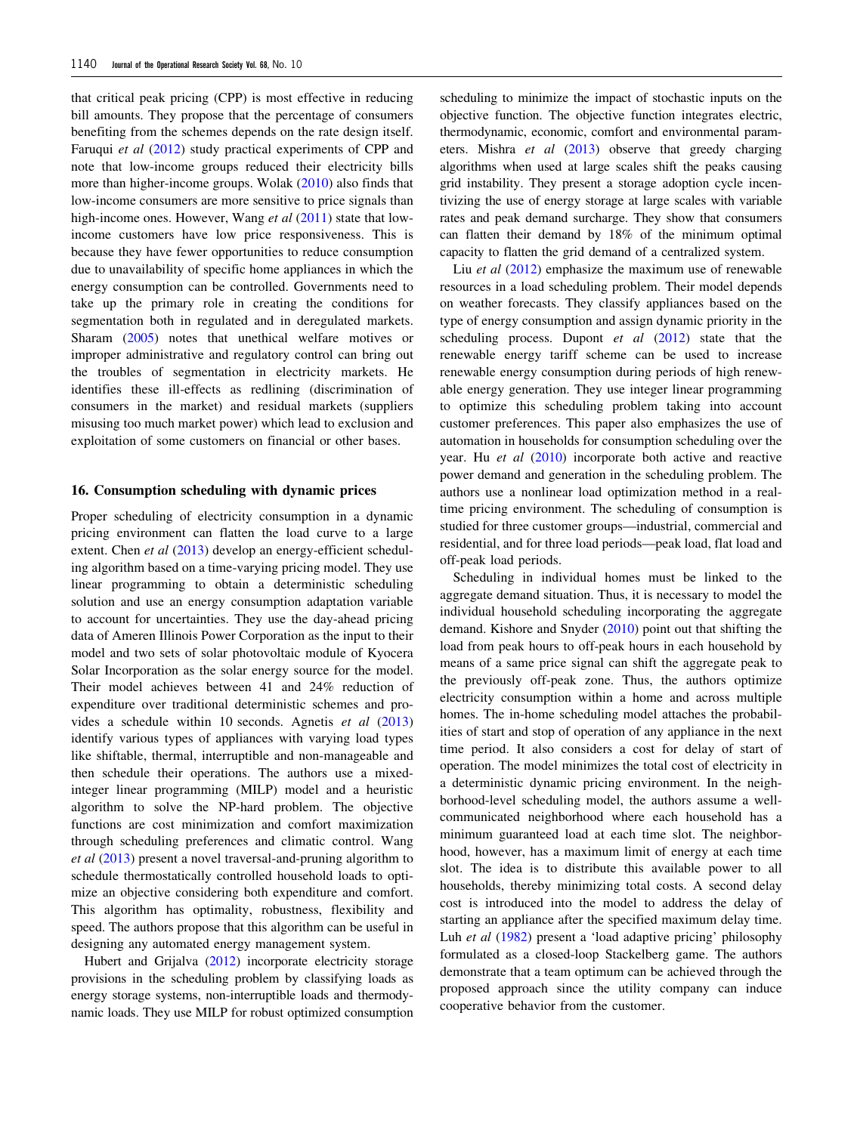that critical peak pricing (CPP) is most effective in reducing bill amounts. They propose that the percentage of consumers benefiting from the schemes depends on the rate design itself. Faruqui et al [\(2012](#page-12-0)) study practical experiments of CPP and note that low-income groups reduced their electricity bills more than higher-income groups. Wolak [\(2010](#page-14-0)) also finds that low-income consumers are more sensitive to price signals than high-income ones. However, Wang et al ([2011\)](#page-13-0) state that lowincome customers have low price responsiveness. This is because they have fewer opportunities to reduce consumption due to unavailability of specific home appliances in which the energy consumption can be controlled. Governments need to take up the primary role in creating the conditions for segmentation both in regulated and in deregulated markets. Sharam ([2005\)](#page-13-0) notes that unethical welfare motives or improper administrative and regulatory control can bring out the troubles of segmentation in electricity markets. He identifies these ill-effects as redlining (discrimination of consumers in the market) and residual markets (suppliers misusing too much market power) which lead to exclusion and exploitation of some customers on financial or other bases.

## 16. Consumption scheduling with dynamic prices

Proper scheduling of electricity consumption in a dynamic pricing environment can flatten the load curve to a large extent. Chen *et al* ([2013\)](#page-11-0) develop an energy-efficient scheduling algorithm based on a time-varying pricing model. They use linear programming to obtain a deterministic scheduling solution and use an energy consumption adaptation variable to account for uncertainties. They use the day-ahead pricing data of Ameren Illinois Power Corporation as the input to their model and two sets of solar photovoltaic module of Kyocera Solar Incorporation as the solar energy source for the model. Their model achieves between 41 and 24% reduction of expenditure over traditional deterministic schemes and provides a schedule within 10 seconds. Agnetis et al [\(2013](#page-11-0)) identify various types of appliances with varying load types like shiftable, thermal, interruptible and non-manageable and then schedule their operations. The authors use a mixedinteger linear programming (MILP) model and a heuristic algorithm to solve the NP-hard problem. The objective functions are cost minimization and comfort maximization through scheduling preferences and climatic control. Wang et al [\(2013\)](#page-13-0) present a novel traversal-and-pruning algorithm to schedule thermostatically controlled household loads to optimize an objective considering both expenditure and comfort. This algorithm has optimality, robustness, flexibility and speed. The authors propose that this algorithm can be useful in designing any automated energy management system.

Hubert and Grijalva [\(2012\)](#page-12-0) incorporate electricity storage provisions in the scheduling problem by classifying loads as energy storage systems, non-interruptible loads and thermodynamic loads. They use MILP for robust optimized consumption

scheduling to minimize the impact of stochastic inputs on the objective function. The objective function integrates electric, thermodynamic, economic, comfort and environmental parameters. Mishra et al ([2013](#page-13-0)) observe that greedy charging algorithms when used at large scales shift the peaks causing grid instability. They present a storage adoption cycle incentivizing the use of energy storage at large scales with variable rates and peak demand surcharge. They show that consumers can flatten their demand by 18% of the minimum optimal capacity to flatten the grid demand of a centralized system.

Liu et al ([2012\)](#page-13-0) emphasize the maximum use of renewable resources in a load scheduling problem. Their model depends on weather forecasts. They classify appliances based on the type of energy consumption and assign dynamic priority in the scheduling process. Dupont et al [\(2012](#page-12-0)) state that the renewable energy tariff scheme can be used to increase renewable energy consumption during periods of high renewable energy generation. They use integer linear programming to optimize this scheduling problem taking into account customer preferences. This paper also emphasizes the use of automation in households for consumption scheduling over the year. Hu et al [\(2010](#page-12-0)) incorporate both active and reactive power demand and generation in the scheduling problem. The authors use a nonlinear load optimization method in a realtime pricing environment. The scheduling of consumption is studied for three customer groups—industrial, commercial and residential, and for three load periods—peak load, flat load and off-peak load periods.

Scheduling in individual homes must be linked to the aggregate demand situation. Thus, it is necessary to model the individual household scheduling incorporating the aggregate demand. Kishore and Snyder ([2010\)](#page-12-0) point out that shifting the load from peak hours to off-peak hours in each household by means of a same price signal can shift the aggregate peak to the previously off-peak zone. Thus, the authors optimize electricity consumption within a home and across multiple homes. The in-home scheduling model attaches the probabilities of start and stop of operation of any appliance in the next time period. It also considers a cost for delay of start of operation. The model minimizes the total cost of electricity in a deterministic dynamic pricing environment. In the neighborhood-level scheduling model, the authors assume a wellcommunicated neighborhood where each household has a minimum guaranteed load at each time slot. The neighborhood, however, has a maximum limit of energy at each time slot. The idea is to distribute this available power to all households, thereby minimizing total costs. A second delay cost is introduced into the model to address the delay of starting an appliance after the specified maximum delay time. Luh et al [\(1982\)](#page-13-0) present a 'load adaptive pricing' philosophy formulated as a closed-loop Stackelberg game. The authors demonstrate that a team optimum can be achieved through the proposed approach since the utility company can induce cooperative behavior from the customer.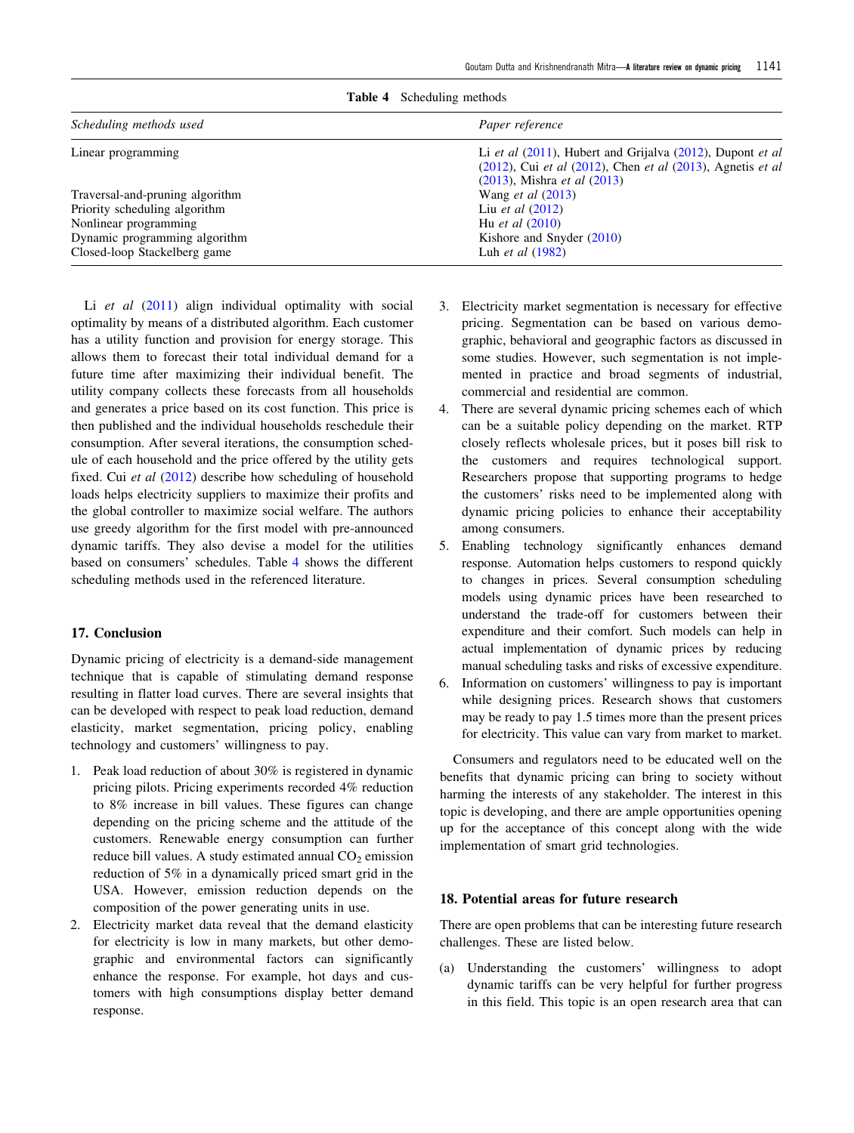| $\frac{1}{2}$ and $\frac{1}{2}$ believaning includes |                                                                                                                                                                                                  |  |  |  |
|------------------------------------------------------|--------------------------------------------------------------------------------------------------------------------------------------------------------------------------------------------------|--|--|--|
| Scheduling methods used                              | Paper reference                                                                                                                                                                                  |  |  |  |
| Linear programming                                   | Li et al (2011), Hubert and Grijalva (2012), Dupont et al<br>$(2012)$ , Cui <i>et al</i> $(2012)$ , Chen <i>et al</i> $(2013)$ , Agnetis <i>et al</i><br>$(2013)$ , Mishra <i>et al</i> $(2013)$ |  |  |  |
| Traversal-and-pruning algorithm                      | Wang <i>et al</i> $(2013)$                                                                                                                                                                       |  |  |  |
| Priority scheduling algorithm                        | Liu <i>et al</i> $(2012)$                                                                                                                                                                        |  |  |  |
| Nonlinear programming                                | Hu <i>et al</i> $(2010)$                                                                                                                                                                         |  |  |  |
| Dynamic programming algorithm                        | Kishore and Snyder (2010)                                                                                                                                                                        |  |  |  |
| Closed-loop Stackelberg game                         | Luh et al (1982)                                                                                                                                                                                 |  |  |  |

Table 4 Scheduling methods

Li et al ([2011\)](#page-12-0) align individual optimality with social optimality by means of a distributed algorithm. Each customer has a utility function and provision for energy storage. This allows them to forecast their total individual demand for a future time after maximizing their individual benefit. The utility company collects these forecasts from all households and generates a price based on its cost function. This price is then published and the individual households reschedule their consumption. After several iterations, the consumption schedule of each household and the price offered by the utility gets fixed. Cui et al [\(2012\)](#page-11-0) describe how scheduling of household loads helps electricity suppliers to maximize their profits and the global controller to maximize social welfare. The authors use greedy algorithm for the first model with pre-announced dynamic tariffs. They also devise a model for the utilities based on consumers' schedules. Table 4 shows the different scheduling methods used in the referenced literature.

# 17. Conclusion

Dynamic pricing of electricity is a demand-side management technique that is capable of stimulating demand response resulting in flatter load curves. There are several insights that can be developed with respect to peak load reduction, demand elasticity, market segmentation, pricing policy, enabling technology and customers' willingness to pay.

- 1. Peak load reduction of about 30% is registered in dynamic pricing pilots. Pricing experiments recorded 4% reduction to 8% increase in bill values. These figures can change depending on the pricing scheme and the attitude of the customers. Renewable energy consumption can further reduce bill values. A study estimated annual  $CO<sub>2</sub>$  emission reduction of 5% in a dynamically priced smart grid in the USA. However, emission reduction depends on the composition of the power generating units in use.
- 2. Electricity market data reveal that the demand elasticity for electricity is low in many markets, but other demographic and environmental factors can significantly enhance the response. For example, hot days and customers with high consumptions display better demand response.
- 3. Electricity market segmentation is necessary for effective pricing. Segmentation can be based on various demographic, behavioral and geographic factors as discussed in some studies. However, such segmentation is not implemented in practice and broad segments of industrial, commercial and residential are common.
- 4. There are several dynamic pricing schemes each of which can be a suitable policy depending on the market. RTP closely reflects wholesale prices, but it poses bill risk to the customers and requires technological support. Researchers propose that supporting programs to hedge the customers' risks need to be implemented along with dynamic pricing policies to enhance their acceptability among consumers.
- 5. Enabling technology significantly enhances demand response. Automation helps customers to respond quickly to changes in prices. Several consumption scheduling models using dynamic prices have been researched to understand the trade-off for customers between their expenditure and their comfort. Such models can help in actual implementation of dynamic prices by reducing manual scheduling tasks and risks of excessive expenditure.
- 6. Information on customers' willingness to pay is important while designing prices. Research shows that customers may be ready to pay 1.5 times more than the present prices for electricity. This value can vary from market to market.

Consumers and regulators need to be educated well on the benefits that dynamic pricing can bring to society without harming the interests of any stakeholder. The interest in this topic is developing, and there are ample opportunities opening up for the acceptance of this concept along with the wide implementation of smart grid technologies.

# 18. Potential areas for future research

There are open problems that can be interesting future research challenges. These are listed below.

(a) Understanding the customers' willingness to adopt dynamic tariffs can be very helpful for further progress in this field. This topic is an open research area that can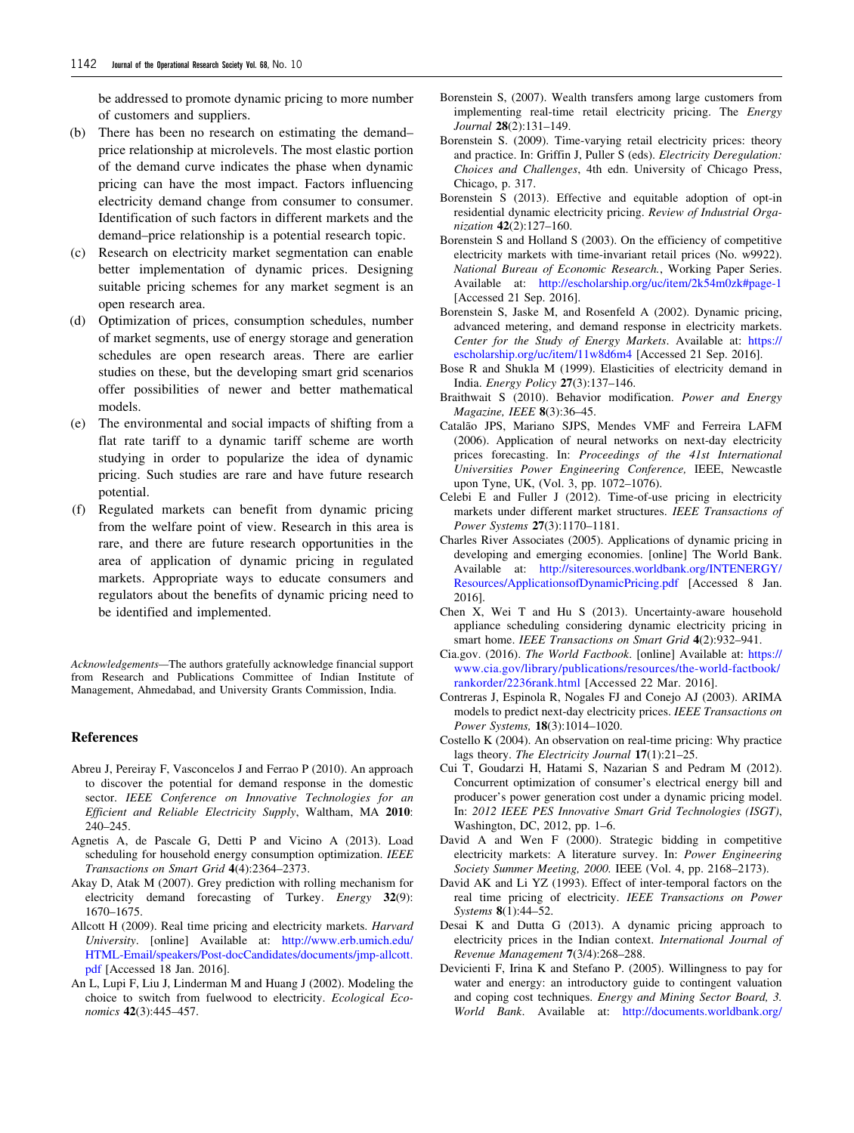<span id="page-11-0"></span>be addressed to promote dynamic pricing to more number of customers and suppliers.

- (b) There has been no research on estimating the demand– price relationship at microlevels. The most elastic portion of the demand curve indicates the phase when dynamic pricing can have the most impact. Factors influencing electricity demand change from consumer to consumer. Identification of such factors in different markets and the demand–price relationship is a potential research topic.
- (c) Research on electricity market segmentation can enable better implementation of dynamic prices. Designing suitable pricing schemes for any market segment is an open research area.
- (d) Optimization of prices, consumption schedules, number of market segments, use of energy storage and generation schedules are open research areas. There are earlier studies on these, but the developing smart grid scenarios offer possibilities of newer and better mathematical models.
- (e) The environmental and social impacts of shifting from a flat rate tariff to a dynamic tariff scheme are worth studying in order to popularize the idea of dynamic pricing. Such studies are rare and have future research potential.
- (f) Regulated markets can benefit from dynamic pricing from the welfare point of view. Research in this area is rare, and there are future research opportunities in the area of application of dynamic pricing in regulated markets. Appropriate ways to educate consumers and regulators about the benefits of dynamic pricing need to be identified and implemented.

Acknowledgements—The authors gratefully acknowledge financial support from Research and Publications Committee of Indian Institute of Management, Ahmedabad, and University Grants Commission, India.

## References

- Abreu J, Pereiray F, Vasconcelos J and Ferrao P (2010). An approach to discover the potential for demand response in the domestic sector. IEEE Conference on Innovative Technologies for an Efficient and Reliable Electricity Supply, Waltham, MA 2010: 240–245.
- Agnetis A, de Pascale G, Detti P and Vicino A (2013). Load scheduling for household energy consumption optimization. IEEE Transactions on Smart Grid 4(4):2364–2373.
- Akay D, Atak M (2007). Grey prediction with rolling mechanism for electricity demand forecasting of Turkey. Energy 32(9): 1670–1675.
- Allcott H (2009). Real time pricing and electricity markets. Harvard University. [online] Available at: [http://www.erb.umich.edu/](http://www.erb.umich.edu/HTML-Email/speakers/Post-docCandidates/documents/jmp-allcott.pdf) [HTML-Email/speakers/Post-docCandidates/documents/jmp-allcott.](http://www.erb.umich.edu/HTML-Email/speakers/Post-docCandidates/documents/jmp-allcott.pdf) [pdf](http://www.erb.umich.edu/HTML-Email/speakers/Post-docCandidates/documents/jmp-allcott.pdf) [Accessed 18 Jan. 2016].
- An L, Lupi F, Liu J, Linderman M and Huang J (2002). Modeling the choice to switch from fuelwood to electricity. Ecological Economics 42(3):445–457.
- Borenstein S, (2007). Wealth transfers among large customers from implementing real-time retail electricity pricing. The Energy Journal 28(2):131–149.
- Borenstein S. (2009). Time-varying retail electricity prices: theory and practice. In: Griffin J, Puller S (eds). Electricity Deregulation: Choices and Challenges, 4th edn. University of Chicago Press, Chicago, p. 317.
- Borenstein S (2013). Effective and equitable adoption of opt-in residential dynamic electricity pricing. Review of Industrial Organization 42(2):127–160.
- Borenstein S and Holland S (2003). On the efficiency of competitive electricity markets with time-invariant retail prices (No. w9922). National Bureau of Economic Research., Working Paper Series. Available at: [http://escholarship.org/uc/item/2k54m0zk#page-1](http://escholarship.org/uc/item/2k54m0zk%23page-1) [Accessed 21 Sep. 2016].
- Borenstein S, Jaske M, and Rosenfeld A (2002). Dynamic pricing, advanced metering, and demand response in electricity markets. Center for the Study of Energy Markets. Available at: [https://](https://escholarship.org/uc/item/11w8d6m4) [escholarship.org/uc/item/11w8d6m4](https://escholarship.org/uc/item/11w8d6m4) [Accessed 21 Sep. 2016].
- Bose R and Shukla M (1999). Elasticities of electricity demand in India. Energy Policy 27(3):137–146.
- Braithwait S (2010). Behavior modification. Power and Energy Magazine, IEEE 8(3):36–45.
- Catalão JPS, Mariano SJPS, Mendes VMF and Ferreira LAFM (2006). Application of neural networks on next-day electricity prices forecasting. In: Proceedings of the 41st International Universities Power Engineering Conference, IEEE, Newcastle upon Tyne, UK, (Vol. 3, pp. 1072–1076).
- Celebi E and Fuller J (2012). Time-of-use pricing in electricity markets under different market structures. IEEE Transactions of Power Systems 27(3):1170–1181.
- Charles River Associates (2005). Applications of dynamic pricing in developing and emerging economies. [online] The World Bank. Available at: [http://siteresources.worldbank.org/INTENERGY/](http://siteresources.worldbank.org/INTENERGY/Resources/ApplicationsofDynamicPricing.pdf) [Resources/ApplicationsofDynamicPricing.pdf](http://siteresources.worldbank.org/INTENERGY/Resources/ApplicationsofDynamicPricing.pdf) [Accessed 8 Jan. 2016].
- Chen X, Wei T and Hu S (2013). Uncertainty-aware household appliance scheduling considering dynamic electricity pricing in smart home. IEEE Transactions on Smart Grid 4(2):932-941.
- Cia.gov. (2016). The World Factbook. [online] Available at: [https://](https://www.cia.gov/library/publications/resources/the-world-factbook/rankorder/2236rank.html) [www.cia.gov/library/publications/resources/the-world-factbook/](https://www.cia.gov/library/publications/resources/the-world-factbook/rankorder/2236rank.html) [rankorder/2236rank.html](https://www.cia.gov/library/publications/resources/the-world-factbook/rankorder/2236rank.html) [Accessed 22 Mar. 2016].
- Contreras J, Espinola R, Nogales FJ and Conejo AJ (2003). ARIMA models to predict next-day electricity prices. IEEE Transactions on Power Systems, 18(3):1014–1020.
- Costello K (2004). An observation on real-time pricing: Why practice lags theory. The Electricity Journal 17(1):21-25.
- Cui T, Goudarzi H, Hatami S, Nazarian S and Pedram M (2012). Concurrent optimization of consumer's electrical energy bill and producer's power generation cost under a dynamic pricing model. In: 2012 IEEE PES Innovative Smart Grid Technologies (ISGT), Washington, DC, 2012, pp. 1–6.
- David A and Wen F (2000). Strategic bidding in competitive electricity markets: A literature survey. In: Power Engineering Society Summer Meeting, 2000. IEEE (Vol. 4, pp. 2168–2173).
- David AK and Li YZ (1993). Effect of inter-temporal factors on the real time pricing of electricity. IEEE Transactions on Power Systems 8(1):44–52.
- Desai K and Dutta G (2013). A dynamic pricing approach to electricity prices in the Indian context. International Journal of Revenue Management 7(3/4):268–288.
- Devicienti F, Irina K and Stefano P. (2005). Willingness to pay for water and energy: an introductory guide to contingent valuation and coping cost techniques. Energy and Mining Sector Board, 3. World Bank. Available at: [http://documents.worldbank.org/](http://documents.worldbank.org/curated/en/866831468158995793/Willingness-to-pay-for-water-and-energy-an-introductory-guide-to-contingent-valuation-and-coping-cost-techniques)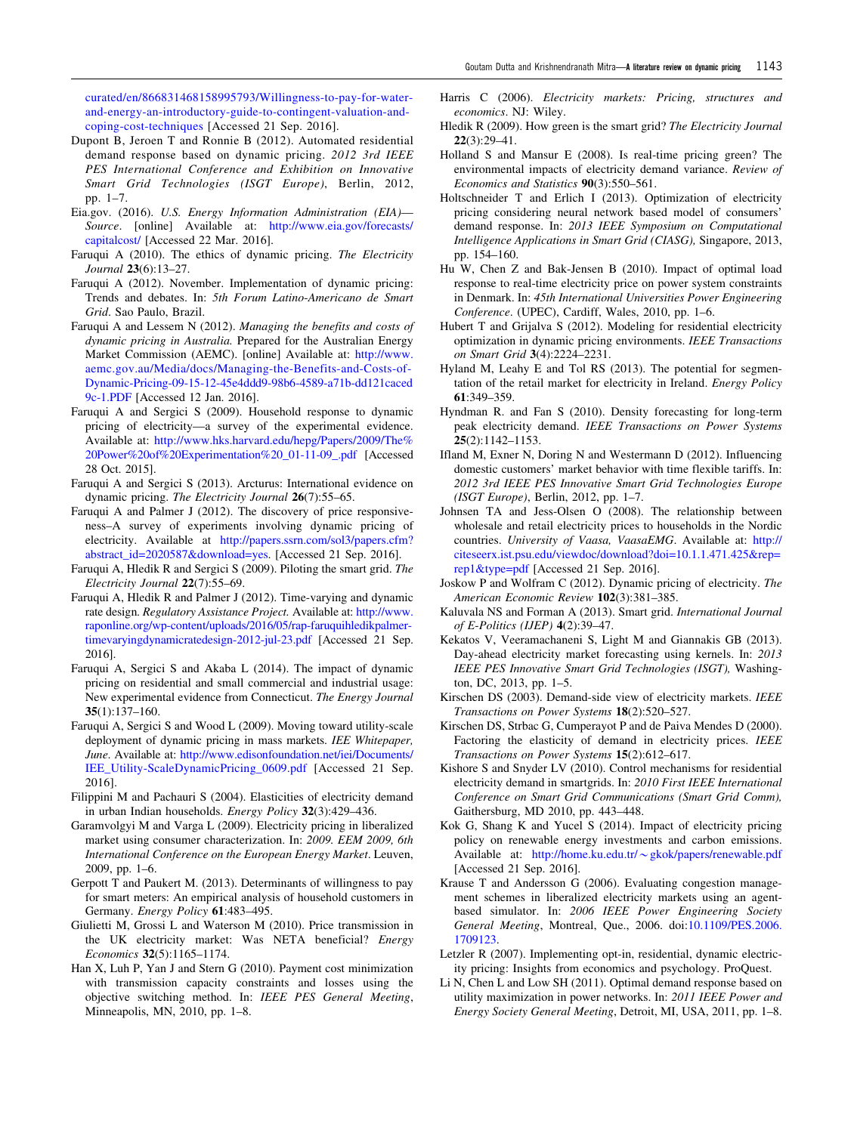<span id="page-12-0"></span>[curated/en/866831468158995793/Willingness-to-pay-for-water](http://documents.worldbank.org/curated/en/866831468158995793/Willingness-to-pay-for-water-and-energy-an-introductory-guide-to-contingent-valuation-and-coping-cost-techniques)[and-energy-an-introductory-guide-to-contingent-valuation-and](http://documents.worldbank.org/curated/en/866831468158995793/Willingness-to-pay-for-water-and-energy-an-introductory-guide-to-contingent-valuation-and-coping-cost-techniques)[coping-cost-techniques](http://documents.worldbank.org/curated/en/866831468158995793/Willingness-to-pay-for-water-and-energy-an-introductory-guide-to-contingent-valuation-and-coping-cost-techniques) [Accessed 21 Sep. 2016].

- Dupont B, Jeroen T and Ronnie B (2012). Automated residential demand response based on dynamic pricing. 2012 3rd IEEE PES International Conference and Exhibition on Innovative Smart Grid Technologies (ISGT Europe), Berlin, 2012, pp. 1–7.
- Eia.gov. (2016). U.S. Energy Information Administration (EIA)— Source. [online] Available at: [http://www.eia.gov/forecasts/](http://www.eia.gov/forecasts/capitalcost/) [capitalcost/](http://www.eia.gov/forecasts/capitalcost/) [Accessed 22 Mar. 2016].
- Faruqui A (2010). The ethics of dynamic pricing. The Electricity Journal 23(6):13–27.
- Faruqui A (2012). November. Implementation of dynamic pricing: Trends and debates. In: 5th Forum Latino-Americano de Smart Grid. Sao Paulo, Brazil.
- Faruqui A and Lessem N (2012). Managing the benefits and costs of dynamic pricing in Australia. Prepared for the Australian Energy Market Commission (AEMC). [online] Available at: [http://www.](http://www.aemc.gov.au/Media/docs/Managing-the-Benefits-and-Costs-of-Dynamic-Pricing-09-15-12-45e4ddd9-98b6-4589-a71b-dd121caced9c-1.PDF) [aemc.gov.au/Media/docs/Managing-the-Benefits-and-Costs-of-](http://www.aemc.gov.au/Media/docs/Managing-the-Benefits-and-Costs-of-Dynamic-Pricing-09-15-12-45e4ddd9-98b6-4589-a71b-dd121caced9c-1.PDF)[Dynamic-Pricing-09-15-12-45e4ddd9-98b6-4589-a71b-dd121caced](http://www.aemc.gov.au/Media/docs/Managing-the-Benefits-and-Costs-of-Dynamic-Pricing-09-15-12-45e4ddd9-98b6-4589-a71b-dd121caced9c-1.PDF) [9c-1.PDF](http://www.aemc.gov.au/Media/docs/Managing-the-Benefits-and-Costs-of-Dynamic-Pricing-09-15-12-45e4ddd9-98b6-4589-a71b-dd121caced9c-1.PDF) [Accessed 12 Jan. 2016].
- Faruqui A and Sergici S (2009). Household response to dynamic pricing of electricity—a survey of the experimental evidence. Available at: [http://www.hks.harvard.edu/hepg/Papers/2009/The%](http://www.hks.harvard.edu/hepg/Papers/2009/The%20Power%20of%20Experimentation%20_01-11-09_.pdf) [20Power%20of%20Experimentation%20\\_01-11-09\\_.pdf](http://www.hks.harvard.edu/hepg/Papers/2009/The%20Power%20of%20Experimentation%20_01-11-09_.pdf) [Accessed 28 Oct. 2015].
- Faruqui A and Sergici S (2013). Arcturus: International evidence on dynamic pricing. The Electricity Journal 26(7):55-65.
- Faruqui A and Palmer J (2012). The discovery of price responsiveness–A survey of experiments involving dynamic pricing of electricity. Available at [http://papers.ssrn.com/sol3/papers.cfm?](http://papers.ssrn.com/sol3/papers.cfm%3fabstract_id%3d2020587%26download%3dyes) [abstract\\_id=2020587&download=yes](http://papers.ssrn.com/sol3/papers.cfm%3fabstract_id%3d2020587%26download%3dyes). [Accessed 21 Sep. 2016].
- Faruqui A, Hledik R and Sergici S (2009). Piloting the smart grid. The Electricity Journal 22(7):55–69.
- Faruqui A, Hledik R and Palmer J (2012). Time-varying and dynamic rate design. Regulatory Assistance Project. Available at: [http://www.](http://www.raponline.org/wp-content/uploads/2016/05/rap-faruquihledikpalmer-timevaryingdynamicratedesign-2012-jul-23.pdf) [raponline.org/wp-content/uploads/2016/05/rap-faruquihledikpalmer](http://www.raponline.org/wp-content/uploads/2016/05/rap-faruquihledikpalmer-timevaryingdynamicratedesign-2012-jul-23.pdf)[timevaryingdynamicratedesign-2012-jul-23.pdf](http://www.raponline.org/wp-content/uploads/2016/05/rap-faruquihledikpalmer-timevaryingdynamicratedesign-2012-jul-23.pdf) [Accessed 21 Sep. 2016].
- Faruqui A, Sergici S and Akaba L (2014). The impact of dynamic pricing on residential and small commercial and industrial usage: New experimental evidence from Connecticut. The Energy Journal 35(1):137–160.
- Faruqui A, Sergici S and Wood L (2009). Moving toward utility-scale deployment of dynamic pricing in mass markets. IEE Whitepaper, June. Available at: [http://www.edisonfoundation.net/iei/Documents/](http://www.edisonfoundation.net/iei/Documents/IEE_Utility-ScaleDynamicPricing_0609.pdf) [IEE\\_Utility-ScaleDynamicPricing\\_0609.pdf](http://www.edisonfoundation.net/iei/Documents/IEE_Utility-ScaleDynamicPricing_0609.pdf) [Accessed 21 Sep. 2016].
- Filippini M and Pachauri S (2004). Elasticities of electricity demand in urban Indian households. Energy Policy 32(3):429–436.
- Garamvolgyi M and Varga L (2009). Electricity pricing in liberalized market using consumer characterization. In: 2009. EEM 2009, 6th International Conference on the European Energy Market. Leuven, 2009, pp. 1–6.
- Gerpott T and Paukert M. (2013). Determinants of willingness to pay for smart meters: An empirical analysis of household customers in Germany. Energy Policy 61:483–495.
- Giulietti M, Grossi L and Waterson M (2010). Price transmission in the UK electricity market: Was NETA beneficial? Energy Economics 32(5):1165–1174.
- Han X, Luh P, Yan J and Stern G (2010). Payment cost minimization with transmission capacity constraints and losses using the objective switching method. In: IEEE PES General Meeting, Minneapolis, MN, 2010, pp. 1–8.
- Harris C (2006). Electricity markets: Pricing, structures and economics. NJ: Wiley.
- Hledik R (2009). How green is the smart grid? The Electricity Journal  $22(3):29-41.$
- Holland S and Mansur E (2008). Is real-time pricing green? The environmental impacts of electricity demand variance. Review of Economics and Statistics 90(3):550–561.
- Holtschneider T and Erlich I (2013). Optimization of electricity pricing considering neural network based model of consumers' demand response. In: 2013 IEEE Symposium on Computational Intelligence Applications in Smart Grid (CIASG), Singapore, 2013, pp. 154–160.
- Hu W, Chen Z and Bak-Jensen B (2010). Impact of optimal load response to real-time electricity price on power system constraints in Denmark. In: 45th International Universities Power Engineering Conference. (UPEC), Cardiff, Wales, 2010, pp. 1–6.
- Hubert T and Grijalva S (2012). Modeling for residential electricity optimization in dynamic pricing environments. IEEE Transactions on Smart Grid 3(4):2224–2231.
- Hyland M, Leahy E and Tol RS (2013). The potential for segmentation of the retail market for electricity in Ireland. Energy Policy 61:349–359.
- Hyndman R. and Fan S (2010). Density forecasting for long-term peak electricity demand. IEEE Transactions on Power Systems 25(2):1142–1153.
- Ifland M, Exner N, Doring N and Westermann D (2012). Influencing domestic customers' market behavior with time flexible tariffs. In: 2012 3rd IEEE PES Innovative Smart Grid Technologies Europe (ISGT Europe), Berlin, 2012, pp. 1–7.
- Johnsen TA and Jess-Olsen O (2008). The relationship between wholesale and retail electricity prices to households in the Nordic countries. University of Vaasa, VaasaEMG. Available at: [http://](http://citeseerx.ist.psu.edu/viewdoc/download?doi=10.1.1.471.425&rep=rep1&type=pdf) [citeseerx.ist.psu.edu/viewdoc/download?doi=10.1.1.471.425&rep=](http://citeseerx.ist.psu.edu/viewdoc/download?doi=10.1.1.471.425&rep=rep1&type=pdf) [rep1&type=pdf](http://citeseerx.ist.psu.edu/viewdoc/download?doi=10.1.1.471.425&rep=rep1&type=pdf) [Accessed 21 Sep. 2016].
- Joskow P and Wolfram C (2012). Dynamic pricing of electricity. The American Economic Review 102(3):381–385.
- Kaluvala NS and Forman A (2013). Smart grid. International Journal of E-Politics (IJEP) 4(2):39–47.
- Kekatos V, Veeramachaneni S, Light M and Giannakis GB (2013). Day-ahead electricity market forecasting using kernels. In: 2013 IEEE PES Innovative Smart Grid Technologies (ISGT), Washington, DC, 2013, pp. 1–5.
- Kirschen DS (2003). Demand-side view of electricity markets. IEEE Transactions on Power Systems 18(2):520–527.
- Kirschen DS, Strbac G, Cumperayot P and de Paiva Mendes D (2000). Factoring the elasticity of demand in electricity prices. IEEE Transactions on Power Systems 15(2):612–617.
- Kishore S and Snyder LV (2010). Control mechanisms for residential electricity demand in smartgrids. In: 2010 First IEEE International Conference on Smart Grid Communications (Smart Grid Comm), Gaithersburg, MD 2010, pp. 443–448.
- Kok G, Shang K and Yucel S (2014). Impact of electricity pricing policy on renewable energy investments and carbon emissions. Available at: http://home.ku.edu.tr/~[gkok/papers/renewable.pdf](http://home.ku.edu.tr/%7egkok/papers/renewable.pdf) [Accessed 21 Sep. 2016].
- Krause T and Andersson G (2006). Evaluating congestion management schemes in liberalized electricity markets using an agentbased simulator. In: 2006 IEEE Power Engineering Society General Meeting, Montreal, Que., 2006. doi[:10.1109/PES.2006.](http://dx.doi.org/10.1109/PES.2006.1709123) [1709123](http://dx.doi.org/10.1109/PES.2006.1709123).
- Letzler R (2007). Implementing opt-in, residential, dynamic electricity pricing: Insights from economics and psychology. ProQuest.
- Li N, Chen L and Low SH (2011). Optimal demand response based on utility maximization in power networks. In: 2011 IEEE Power and Energy Society General Meeting, Detroit, MI, USA, 2011, pp. 1–8.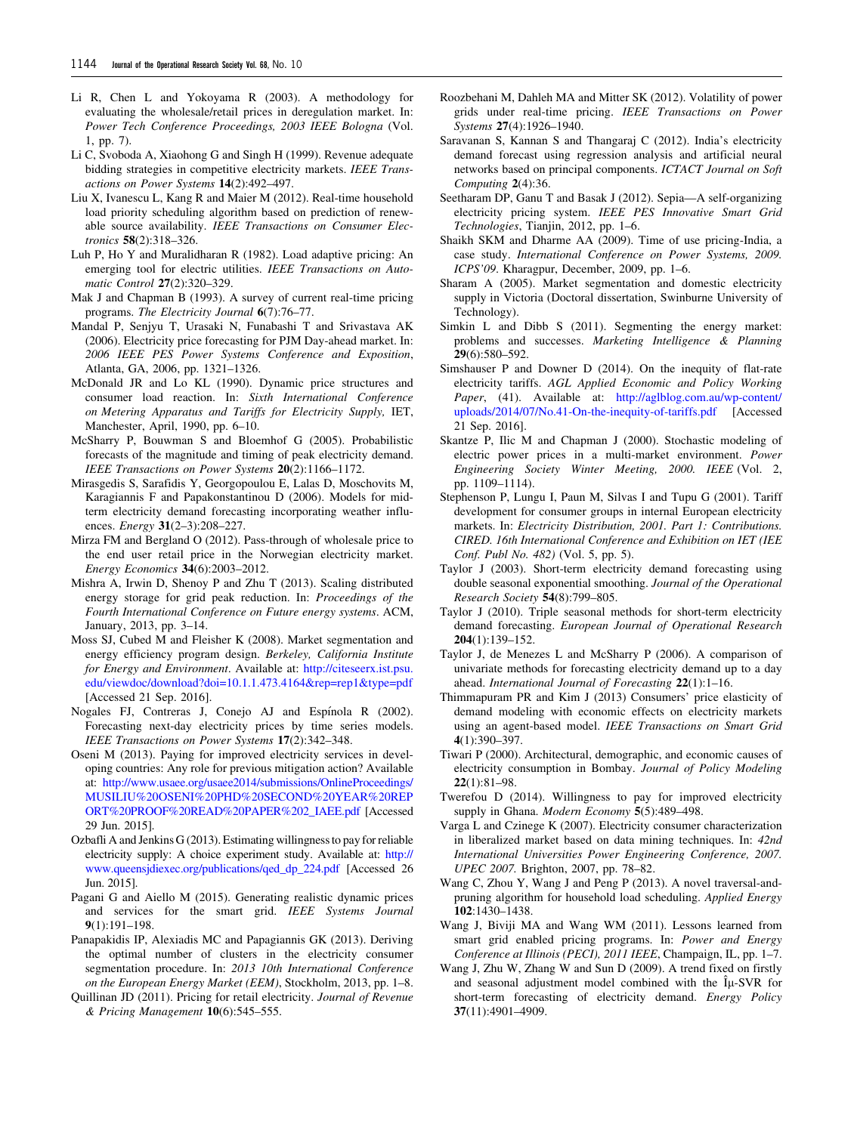- <span id="page-13-0"></span>Li R, Chen L and Yokoyama R (2003). A methodology for evaluating the wholesale/retail prices in deregulation market. In: Power Tech Conference Proceedings, 2003 IEEE Bologna (Vol. 1, pp. 7).
- Li C, Svoboda A, Xiaohong G and Singh H (1999). Revenue adequate bidding strategies in competitive electricity markets. IEEE Transactions on Power Systems 14(2):492–497.
- Liu X, Ivanescu L, Kang R and Maier M (2012). Real-time household load priority scheduling algorithm based on prediction of renewable source availability. IEEE Transactions on Consumer Electronics 58(2):318–326.
- Luh P, Ho Y and Muralidharan R (1982). Load adaptive pricing: An emerging tool for electric utilities. IEEE Transactions on Automatic Control 27(2):320–329.
- Mak J and Chapman B (1993). A survey of current real-time pricing programs. The Electricity Journal 6(7):76–77.
- Mandal P, Senjyu T, Urasaki N, Funabashi T and Srivastava AK (2006). Electricity price forecasting for PJM Day-ahead market. In: 2006 IEEE PES Power Systems Conference and Exposition, Atlanta, GA, 2006, pp. 1321–1326.
- McDonald JR and Lo KL (1990). Dynamic price structures and consumer load reaction. In: Sixth International Conference on Metering Apparatus and Tariffs for Electricity Supply, IET, Manchester, April, 1990, pp. 6–10.
- McSharry P, Bouwman S and Bloemhof G (2005). Probabilistic forecasts of the magnitude and timing of peak electricity demand. IEEE Transactions on Power Systems 20(2):1166–1172.
- Mirasgedis S, Sarafidis Y, Georgopoulou E, Lalas D, Moschovits M, Karagiannis F and Papakonstantinou D (2006). Models for midterm electricity demand forecasting incorporating weather influences. Energy 31(2–3):208–227.
- Mirza FM and Bergland O (2012). Pass-through of wholesale price to the end user retail price in the Norwegian electricity market. Energy Economics 34(6):2003–2012.
- Mishra A, Irwin D, Shenoy P and Zhu T (2013). Scaling distributed energy storage for grid peak reduction. In: Proceedings of the Fourth International Conference on Future energy systems. ACM, January, 2013, pp. 3–14.
- Moss SJ, Cubed M and Fleisher K (2008). Market segmentation and energy efficiency program design. Berkeley, California Institute for Energy and Environment. Available at: [http://citeseerx.ist.psu.](http://citeseerx.ist.psu.edu/viewdoc/download?doi=10.1.1.473.4164&rep=rep1&type=pdf) [edu/viewdoc/download?doi=10.1.1.473.4164&rep=rep1&type=pdf](http://citeseerx.ist.psu.edu/viewdoc/download?doi=10.1.1.473.4164&rep=rep1&type=pdf) [Accessed 21 Sep. 2016].
- Nogales FJ, Contreras J, Conejo AJ and Espínola R (2002). Forecasting next-day electricity prices by time series models. IEEE Transactions on Power Systems 17(2):342–348.
- Oseni M (2013). Paying for improved electricity services in developing countries: Any role for previous mitigation action? Available at: [http://www.usaee.org/usaee2014/submissions/OnlineProceedings/](http://www.usaee.org/usaee2014/submissions/OnlineProceedings/MUSILIU%20OSENI%20PHD%20SECOND%20YEAR%20REPORT%20PROOF%20READ%20PAPER%202_IAEE.pdf) [MUSILIU%20OSENI%20PHD%20SECOND%20YEAR%20REP](http://www.usaee.org/usaee2014/submissions/OnlineProceedings/MUSILIU%20OSENI%20PHD%20SECOND%20YEAR%20REPORT%20PROOF%20READ%20PAPER%202_IAEE.pdf) [ORT%20PROOF%20READ%20PAPER%202\\_IAEE.pdf](http://www.usaee.org/usaee2014/submissions/OnlineProceedings/MUSILIU%20OSENI%20PHD%20SECOND%20YEAR%20REPORT%20PROOF%20READ%20PAPER%202_IAEE.pdf) [Accessed 29 Jun. 2015].
- Ozbafli A and Jenkins G (2013). Estimating willingness to pay for reliable electricity supply: A choice experiment study. Available at: [http://](http://www.queensjdiexec.org/publications/qed_dp_224.pdf) [www.queensjdiexec.org/publications/qed\\_dp\\_224.pdf](http://www.queensjdiexec.org/publications/qed_dp_224.pdf) [Accessed 26 Jun. 2015].
- Pagani G and Aiello M (2015). Generating realistic dynamic prices and services for the smart grid. IEEE Systems Journal 9(1):191–198.
- Panapakidis IP, Alexiadis MC and Papagiannis GK (2013). Deriving the optimal number of clusters in the electricity consumer segmentation procedure. In: 2013 10th International Conference on the European Energy Market (EEM), Stockholm, 2013, pp. 1–8.
- Quillinan JD (2011). Pricing for retail electricity. Journal of Revenue & Pricing Management 10(6):545–555.
- Roozbehani M, Dahleh MA and Mitter SK (2012). Volatility of power grids under real-time pricing. IEEE Transactions on Power Systems 27(4):1926–1940.
- Saravanan S, Kannan S and Thangaraj C (2012). India's electricity demand forecast using regression analysis and artificial neural networks based on principal components. ICTACT Journal on Soft Computing 2(4):36.
- Seetharam DP, Ganu T and Basak J (2012). Sepia—A self-organizing electricity pricing system. IEEE PES Innovative Smart Grid Technologies, Tianjin, 2012, pp. 1–6.
- Shaikh SKM and Dharme AA (2009). Time of use pricing-India, a case study. International Conference on Power Systems, 2009. ICPS'09. Kharagpur, December, 2009, pp. 1–6.
- Sharam A (2005). Market segmentation and domestic electricity supply in Victoria (Doctoral dissertation, Swinburne University of Technology).
- Simkin L and Dibb S (2011). Segmenting the energy market: problems and successes. Marketing Intelligence & Planning 29(6):580–592.
- Simshauser P and Downer D (2014). On the inequity of flat-rate electricity tariffs. AGL Applied Economic and Policy Working Paper, (41). Available at: [http://aglblog.com.au/wp-content/](http://aglblog.com.au/wp-content/uploads/2014/07/No.41-On-the-inequity-of-tariffs.pdf) [uploads/2014/07/No.41-On-the-inequity-of-tariffs.pdf](http://aglblog.com.au/wp-content/uploads/2014/07/No.41-On-the-inequity-of-tariffs.pdf) [Accessed 21 Sep. 2016].
- Skantze P, Ilic M and Chapman J (2000). Stochastic modeling of electric power prices in a multi-market environment. Power Engineering Society Winter Meeting, 2000. IEEE (Vol. 2, pp. 1109–1114).
- Stephenson P, Lungu I, Paun M, Silvas I and Tupu G (2001). Tariff development for consumer groups in internal European electricity markets. In: Electricity Distribution, 2001. Part 1: Contributions. CIRED. 16th International Conference and Exhibition on IET (IEE Conf. Publ No. 482) (Vol. 5, pp. 5).
- Taylor J (2003). Short-term electricity demand forecasting using double seasonal exponential smoothing. Journal of the Operational Research Society 54(8):799–805.
- Taylor J (2010). Triple seasonal methods for short-term electricity demand forecasting. European Journal of Operational Research 204(1):139–152.
- Taylor J, de Menezes L and McSharry P (2006). A comparison of univariate methods for forecasting electricity demand up to a day ahead. International Journal of Forecasting 22(1):1–16.
- Thimmapuram PR and Kim J (2013) Consumers' price elasticity of demand modeling with economic effects on electricity markets using an agent-based model. IEEE Transactions on Smart Grid 4(1):390–397.
- Tiwari P (2000). Architectural, demographic, and economic causes of electricity consumption in Bombay. Journal of Policy Modeling 22(1):81–98.
- Twerefou D (2014). Willingness to pay for improved electricity supply in Ghana. Modern Economy 5(5):489-498.
- Varga L and Czinege K (2007). Electricity consumer characterization in liberalized market based on data mining techniques. In: 42nd International Universities Power Engineering Conference, 2007. UPEC 2007. Brighton, 2007, pp. 78–82.
- Wang C, Zhou Y, Wang J and Peng P (2013). A novel traversal-andpruning algorithm for household load scheduling. Applied Energy 102:1430–1438.
- Wang J, Biviji MA and Wang WM (2011). Lessons learned from smart grid enabled pricing programs. In: Power and Energy Conference at Illinois (PECI), 2011 IEEE, Champaign, IL, pp. 1–7.
- Wang J, Zhu W, Zhang W and Sun D (2009). A trend fixed on firstly and seasonal adjustment model combined with the  $\hat{I}_{\mu}$ -SVR for short-term forecasting of electricity demand. Energy Policy 37(11):4901–4909.